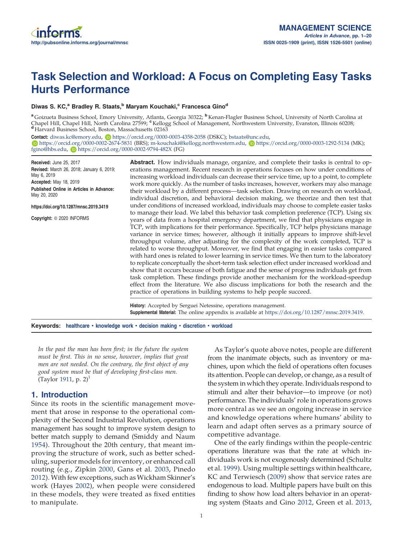# Task Selection and Workload: A Focus on Completing Easy Tasks Hurts Performance

#### Diwas S. KC,<sup>a</sup> Bradley R. Staats,<sup>b</sup> Maryam Kouchaki,<sup>c</sup> Francesca Gino<sup>d</sup>

<sup>a</sup> Goizueta Business School, Emory University, Atlanta, Georgia 30322; <sup>b</sup> Kenan-Flagler Business School, University of North Carolina at Chapel Hill, Chapel Hill, North Carolina 27599; "Kellogg School of Management, Northwestern University, Evanston, Illinois 60208; <sup>d</sup> Harvard Business School, Boston, Massachusetts 02163

Contact: diwas.kc@emory.edu, **b**https://orcid.org/0000-0003-4358-2058 (DSKC); bstaats@unc.edu,  $\bullet$  https://orcid.org/0000-0002-2674-5831 (BRS); m-kouchaki@kellogg.northwestern.edu,  $\bullet$  https://orcid.org/0000-0003-1292-5134 (MK); fgino@hbs.edu, Dhttps://orcid.org/0000-0002-9794-482X (FG)

| Received: June 25, 2017                                                                                                                                   | <b>Abstract.</b> How individuals manage, organize, and complete their tasks is central to op-                                                                                                                                                                                                                                                                                                                                                                                                                                                                                                                                                                                                                                                                                                                                                                                                                                                                                                                                                                                                                                                                                                                                                                                                                                                                                                                     |
|-----------------------------------------------------------------------------------------------------------------------------------------------------------|-------------------------------------------------------------------------------------------------------------------------------------------------------------------------------------------------------------------------------------------------------------------------------------------------------------------------------------------------------------------------------------------------------------------------------------------------------------------------------------------------------------------------------------------------------------------------------------------------------------------------------------------------------------------------------------------------------------------------------------------------------------------------------------------------------------------------------------------------------------------------------------------------------------------------------------------------------------------------------------------------------------------------------------------------------------------------------------------------------------------------------------------------------------------------------------------------------------------------------------------------------------------------------------------------------------------------------------------------------------------------------------------------------------------|
| Revised: March 26, 2018; January 6, 2019;<br>May 6, 2019                                                                                                  | erations management. Recent research in operations focuses on how under conditions of                                                                                                                                                                                                                                                                                                                                                                                                                                                                                                                                                                                                                                                                                                                                                                                                                                                                                                                                                                                                                                                                                                                                                                                                                                                                                                                             |
| Accepted: May 18, 2019<br>Published Online in Articles in Advance:<br>May 20, 2020<br>https://doi.org/10.1287/mnsc.2019.3419<br>Copyright: © 2020 INFORMS | increasing workload individuals can decrease their service time, up to a point, to complete<br>work more quickly. As the number of tasks increases, however, workers may also manage<br>their workload by a different process-task selection. Drawing on research on workload,<br>individual discretion, and behavioral decision making, we theorize and then test that<br>under conditions of increased workload, individuals may choose to complete easier tasks<br>to manage their load. We label this behavior task completion preference (TCP). Using six<br>years of data from a hospital emergency department, we find that physicians engage in<br>TCP, with implications for their performance. Specifically, TCP helps physicians manage<br>variance in service times; however, although it initially appears to improve shift-level<br>throughput volume, after adjusting for the complexity of the work completed, TCP is<br>related to worse throughput. Moreover, we find that engaging in easier tasks compared<br>with hard ones is related to lower learning in service times. We then turn to the laboratory<br>to replicate conceptually the short-term task selection effect under increased workload and<br>show that it occurs because of both fatigue and the sense of progress individuals get from<br>task completion. These findings provide another mechanism for the workload-speedup |
|                                                                                                                                                           | effect from the literature. We also discuss implications for both the research and the<br>practice of operations in building systems to help people succeed.                                                                                                                                                                                                                                                                                                                                                                                                                                                                                                                                                                                                                                                                                                                                                                                                                                                                                                                                                                                                                                                                                                                                                                                                                                                      |
|                                                                                                                                                           | History: Accepted by Serguei Netessine, operations management.<br><b>Supplemental Material:</b> The online appendix is available at https://doi.org/10.1287/mnsc.2019.3419.                                                                                                                                                                                                                                                                                                                                                                                                                                                                                                                                                                                                                                                                                                                                                                                                                                                                                                                                                                                                                                                                                                                                                                                                                                       |
|                                                                                                                                                           | Keywords: healthcare • knowledge work • decision making • discretion • workload                                                                                                                                                                                                                                                                                                                                                                                                                                                                                                                                                                                                                                                                                                                                                                                                                                                                                                                                                                                                                                                                                                                                                                                                                                                                                                                                   |

*In the past the man has been* fi*rst; in the future the system must be* fi*rst. This in no sense, however, implies that great men are not needed. On the contrary, the* fi*rst object of any good system must be that of developing* fi*rst-class men.* (Taylor 1911, p. 2)<sup>1</sup>

# 1. Introduction

Since its roots in the scientific management movement that arose in response to the operational complexity of the Second Industrial Revolution, operations management has sought to improve system design to better match supply to demand (Smiddy and Naum 1954). Throughout the 20th century, that meant improving the structure of work, such as better scheduling, superior models for inventory, or enhanced call routing (e.g., Zipkin 2000, Gans et al. 2003, Pinedo 2012). With few exceptions, such as Wickham Skinner's work (Hayes 2002), when people were considered in these models, they were treated as fixed entities to manipulate.

As Taylor's quote above notes, people are different from the inanimate objects, such as inventory or machines, upon which the field of operations often focuses its attention. People can develop, or change, as a result of the system in which they operate. Individuals respond to stimuli and alter their behavior—to improve (or not) performance. The individuals' role in operations grows more central as we see an ongoing increase in service and knowledge operations where humans' ability to learn and adapt often serves as a primary source of competitive advantage.

One of the early findings within the people-centric operations literature was that the rate at which individuals work is not exogenously determined (Schultz et al. 1999). Using multiple settings within healthcare, KC and Terwiesch (2009) show that service rates are endogenous to load. Multiple papers have built on this finding to show how load alters behavior in an operating system (Staats and Gino 2012, Green et al. 2013,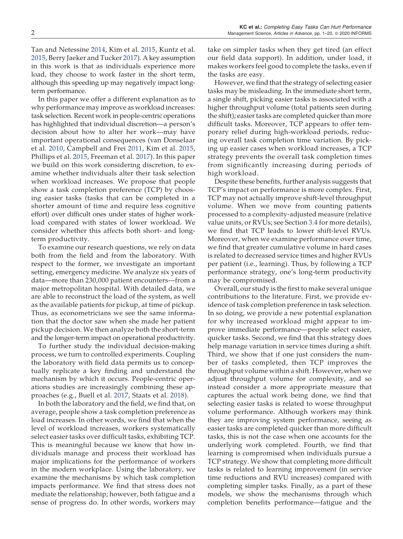Tan and Netessine 2014, Kim et al. 2015, Kuntz et al. 2015, Berry Jaeker and Tucker 2017). A key assumption in this work is that as individuals experience more load, they choose to work faster in the short term, although this speeding up may negatively impact longterm performance.

In this paper we offer a different explanation as to why performance may improve as workload increases: task selection. Recent work in people-centric operations has highlighted that individual discretion—a person's decision about how to alter her work—may have important operational consequences (van Donselaar et al. 2010, Campbell and Frei 2011, Kim et al. 2015, Phillips et al. 2015, Freeman et al. 2017). In this paper we build on this work considering discretion, to examine whether individuals alter their task selection when workload increases. We propose that people show a task completion preference (TCP) by choosing easier tasks (tasks that can be completed in a shorter amount of time and require less cognitive effort) over difficult ones under states of higher workload compared with states of lower workload. We consider whether this affects both short- and longterm productivity.

To examine our research questions, we rely on data both from the field and from the laboratory. With respect to the former, we investigate an important setting, emergency medicine. We analyze six years of data—more than 230,000 patient encounters—from a major metropolitan hospital. With detailed data, we are able to reconstruct the load of the system, as well as the available patients for pickup, at time of pickup. Thus, as econometricians we see the same information that the doctor saw when she made her patient pickup decision. We then analyze both the short-term and the longer-term impact on operational productivity.

To further study the individual decision-making process, we turn to controlled experiments. Coupling the laboratory with field data permits us to conceptually replicate a key finding and understand the mechanism by which it occurs. People-centric operations studies are increasingly combining these approaches (e.g., Buell et al. 2017, Staats et al. 2018).

In both the laboratory and the field, we find that, on average, people show a task completion preference as load increases. In other words, we find that when the level of workload increases, workers systematically select easier tasks over difficult tasks, exhibiting TCP. This is meaningful because we know that how individuals manage and process their workload has major implications for the performance of workers in the modern workplace. Using the laboratory, we examine the mechanisms by which task completion impacts performance. We find that stress does not mediate the relationship; however, both fatigue and a sense of progress do. In other words, workers may take on simpler tasks when they get tired (an effect our field data support). In addition, under load, it makes workers feel good to complete the tasks, even if the tasks are easy.

However, we find that the strategy of selecting easier tasks may be misleading. In the immediate short term, a single shift, picking easier tasks is associated with a higher throughput volume (total patients seen during the shift); easier tasks are completed quicker than more difficult tasks. Moreover, TCP appears to offer temporary relief during high-workload periods, reducing overall task completion time variation. By picking up easier cases when workload increases, a TCP strategy prevents the overall task completion times from significantly increasing during periods of high workload.

Despite these benefits, further analysis suggests that TCP's impact on performance is more complex. First, TCP may not actually improve shift-level throughput volume. When we move from counting patients processed to a complexity-adjusted measure (relative value units, or RVUs; see Section 3.4 for more details), we find that TCP leads to lower shift-level RVUs. Moreover, when we examine performance over time, we find that greater cumulative volume in hard cases is related to decreased service times and higher RVUs per patient (i.e., learning). Thus, by following a TCP performance strategy, one's long-term productivity may be compromised.

Overall, our study is the first to make several unique contributions to the literature. First, we provide evidence of task completion preference in task selection. In so doing, we provide a new potential explanation for why increased workload might appear to improve immediate performance—people select easier, quicker tasks. Second, we find that this strategy does help manage variation in service times during a shift. Third, we show that if one just considers the number of tasks completed, then TCP improves the throughput volume within a shift. However, when we adjust throughput volume for complexity, and so instead consider a more appropriate measure that captures the actual work being done, we find that selecting easier tasks is related to worse throughput volume performance. Although workers may think they are improving system performance, seeing as easier tasks are completed quicker than more difficult tasks, this is not the case when one accounts for the underlying work completed. Fourth, we find that learning is compromised when individuals pursue a TCP strategy. We show that completing more difficult tasks is related to learning improvement (in service time reductions and RVU increases) compared with completing simpler tasks. Finally, as a part of these models, we show the mechanisms through which completion benefits performance—fatigue and the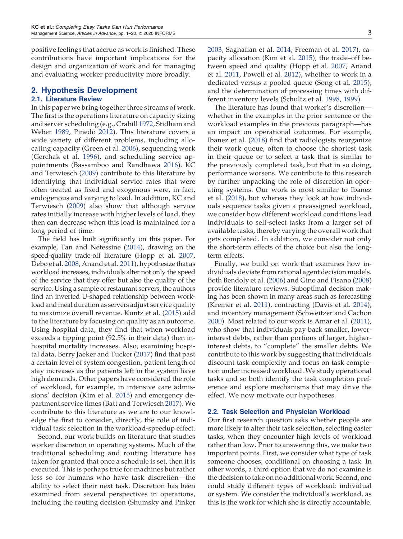positive feelings that accrue as work is finished. These contributions have important implications for the design and organization of work and for managing and evaluating worker productivity more broadly.

#### 2. Hypothesis Development

#### 2.1. Literature Review

In this paper we bring together three streams of work. The first is the operations literature on capacity sizing and server scheduling (e.g., Crabill 1972, Stidham and Weber 1989, Pinedo 2012). This literature covers a wide variety of different problems, including allocating capacity (Green et al. 2006), sequencing work (Gerchak et al. 1996), and scheduling service appointments (Bassamboo and Randhawa 2016). KC and Terwiesch (2009) contribute to this literature by identifying that individual service rates that were often treated as fixed and exogenous were, in fact, endogenous and varying to load. In addition, KC and Terwiesch (2009) also show that although service rates initially increase with higher levels of load, they then can decrease when this load is maintained for a long period of time.

The field has built significantly on this paper. For example, Tan and Netessine (2014), drawing on the speed-quality trade-off literature (Hopp et al. 2007, Debo et al. 2008, Anand et al. 2011), hypothesize that as workload increases, individuals alter not only the speed of the service that they offer but also the quality of the service. Using a sample of restaurant servers, the authors find an inverted U-shaped relationship between workload and meal duration as servers adjust service quality to maximize overall revenue. Kuntz et al. (2015) add to the literature by focusing on quality as an outcome. Using hospital data, they find that when workload exceeds a tipping point (92.5% in their data) then inhospital mortality increases. Also, examining hospital data, Berry Jaeker and Tucker (2017) find that past a certain level of system congestion, patient length of stay increases as the patients left in the system have high demands. Other papers have considered the role of workload, for example, in intensive care admissions' decision (Kim et al. 2015) and emergency department service times (Batt and Terwiesch 2017). We contribute to this literature as we are to our knowledge the first to consider, directly, the role of individual task selection in the workload-speedup effect.

Second, our work builds on literature that studies worker discretion in operating systems. Much of the traditional scheduling and routing literature has taken for granted that once a schedule is set, then it is executed. This is perhaps true for machines but rather less so for humans who have task discretion—the ability to select their next task. Discretion has been examined from several perspectives in operations, including the routing decision (Shumsky and Pinker 2003, Saghafian et al. 2014, Freeman et al. 2017), capacity allocation (Kim et al. 2015), the trade–off between speed and quality (Hopp et al. 2007, Anand et al. 2011, Powell et al. 2012), whether to work in a dedicated versus a pooled queue (Song et al. 2015), and the determination of processing times with different inventory levels (Schultz et al. 1998, 1999).

The literature has found that worker's discretion whether in the examples in the prior sentence or the workload examples in the previous paragraph—has an impact on operational outcomes. For example, Ibanez et al. (2018) find that radiologists reorganize their work queue, often to choose the shortest task in their queue or to select a task that is similar to the previously completed task, but that in so doing, performance worsens. We contribute to this research by further unpacking the role of discretion in operating systems. Our work is most similar to Ibanez et al. (2018), but whereas they look at how individuals sequence tasks given a preassigned workload, we consider how different workload conditions lead individuals to self-select tasks from a larger set of available tasks, thereby varying the overall work that gets completed. In addition, we consider not only the short-term effects of the choice but also the longterm effects.

Finally, we build on work that examines how individuals deviate from rational agent decision models. Both Bendoly et al. (2006) and Gino and Pisano (2008) provide literature reviews. Suboptimal decision making has been shown in many areas such as forecasting (Kremer et al. 2011), contracting (Davis et al. 2014), and inventory management (Schweitzer and Cachon 2000). Most related to our work is Amar et al. (2011), who show that individuals pay back smaller, lowerinterest debts, rather than portions of larger, higherinterest debts, to "complete" the smaller debts. We contribute to this work by suggesting that individuals discount task complexity and focus on task completion under increased workload. We study operational tasks and so both identify the task completion preference and explore mechanisms that may drive the effect. We now motivate our hypotheses.

#### 2.2. Task Selection and Physician Workload

Our first research question asks whether people are more likely to alter their task selection, selecting easier tasks, when they encounter high levels of workload rather than low. Prior to answering this, we make two important points. First, we consider what type of task someone chooses, conditional on choosing a task. In other words, a third option that we do not examine is the decision to take on no additional work. Second, one could study different types of workload: individual or system. We consider the individual's workload, as this is the work for which she is directly accountable.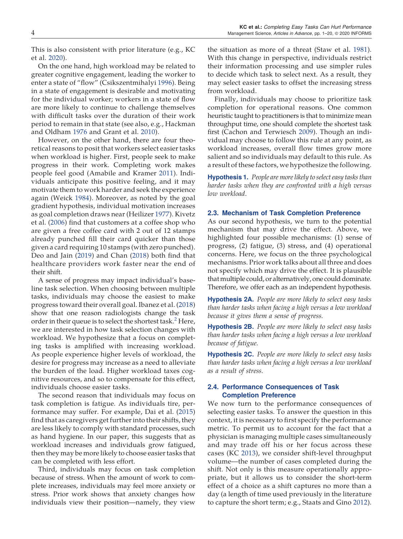This is also consistent with prior literature (e.g., KC et al. 2020).

On the one hand, high workload may be related to greater cognitive engagement, leading the worker to enter a state of "flow" (Csikszentmihalyi 1996). Being in a state of engagement is desirable and motivating for the individual worker; workers in a state of flow are more likely to continue to challenge themselves with difficult tasks over the duration of their work period to remain in that state (see also, e.g., Hackman and Oldham 1976 and Grant et al. 2010).

However, on the other hand, there are four theoretical reasons to posit that workers select easier tasks when workload is higher. First, people seek to make progress in their work. Completing work makes people feel good (Amabile and Kramer 2011). Individuals anticipate this positive feeling, and it may motivate them to work harder and seek the experience again (Weick 1984). Moreover, as noted by the goal gradient hypothesis, individual motivation increases as goal completion draws near (Heilizer 1977). Kivetz et al. (2006) find that customers at a coffee shop who are given a free coffee card with 2 out of 12 stamps already punched fill their card quicker than those given a card requiring 10 stamps (with zero punched). Deo and Jain (2019) and Chan (2018) both find that healthcare providers work faster near the end of their shift.

A sense of progress may impact individual's baseline task selection. When choosing between multiple tasks, individuals may choose the easiest to make progress toward their overall goal. Ibanez et al. (2018) show that one reason radiologists change the task order in their queue is to select the shortest task.<sup>2</sup> Here, we are interested in how task selection changes with workload. We hypothesize that a focus on completing tasks is amplified with increasing workload. As people experience higher levels of workload, the desire for progress may increase as a need to alleviate the burden of the load. Higher workload taxes cognitive resources, and so to compensate for this effect, individuals choose easier tasks.

The second reason that individuals may focus on task completion is fatigue. As individuals tire, performance may suffer. For example, Dai et al. (2015) find that as caregivers get further into their shifts, they are less likely to comply with standard processes, such as hand hygiene. In our paper, this suggests that as workload increases and individuals grow fatigued, then they may be more likely to choose easier tasks that can be completed with less effort.

Third, individuals may focus on task completion because of stress. When the amount of work to complete increases, individuals may feel more anxiety or stress. Prior work shows that anxiety changes how individuals view their position—namely, they view

the situation as more of a threat (Staw et al. 1981). With this change in perspective, individuals restrict their information processing and use simpler rules to decide which task to select next. As a result, they may select easier tasks to offset the increasing stress from workload.

Finally, individuals may choose to prioritize task completion for operational reasons. One common heuristic taught to practitioners is that to minimize mean throughput time, one should complete the shortest task first (Cachon and Terwiesch 2009). Though an individual may choose to follow this rule at any point, as workload increases, overall flow times grow more salient and so individuals may default to this rule. As a result of these factors, we hypothesize the following.

Hypothesis 1. *People are more likely to select easy tasks than harder tasks when they are confronted with a high versus low workload*.

#### 2.3. Mechanism of Task Completion Preference

As our second hypothesis, we turn to the potential mechanism that may drive the effect. Above, we highlighted four possible mechanisms: (1) sense of progress, (2) fatigue, (3) stress, and (4) operational concerns. Here, we focus on the three psychological mechanisms. Prior work talks about all three and does not specify which may drive the effect. It is plausible that multiple could, or alternatively, one could dominate. Therefore, we offer each as an independent hypothesis.

Hypothesis 2A. *People are more likely to select easy tasks than harder tasks when facing a high versus a low workload because it gives them a sense of progress.*

Hypothesis 2B. *People are more likely to select easy tasks than harder tasks when facing a high versus a low workload because of fatigue.*

Hypothesis 2C. *People are more likely to select easy tasks than harder tasks when facing a high versus a low workload as a result of stress.*

### 2.4. Performance Consequences of Task Completion Preference

We now turn to the performance consequences of selecting easier tasks. To answer the question in this context, it is necessary to first specify the performance metric. To permit us to account for the fact that a physician is managing multiple cases simultaneously and may trade off his or her focus across these cases (KC 2013), we consider shift-level throughput volume—the number of cases completed during the shift. Not only is this measure operationally appropriate, but it allows us to consider the short-term effect of a choice as a shift captures no more than a day (a length of time used previously in the literature to capture the short term; e.g., Staats and Gino 2012).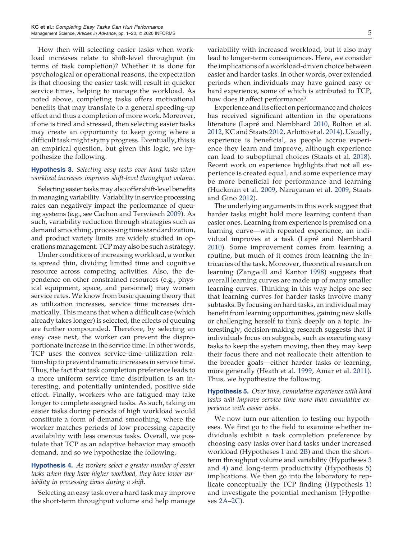How then will selecting easier tasks when workload increases relate to shift-level throughput (in terms of task completion)? Whether it is done for psychological or operational reasons, the expectation is that choosing the easier task will result in quicker service times, helping to manage the workload. As noted above, completing tasks offers motivational benefits that may translate to a general speeding-up effect and thus a completion of more work. Moreover, if one is tired and stressed, then selecting easier tasks may create an opportunity to keep going where a difficult task might stymy progress. Eventually, this is an empirical question, but given this logic, we hypothesize the following.

## Hypothesis 3. *Selecting easy tasks over hard tasks when workload increases improves shift-level throughput volume.*

Selecting easier tasks may also offer shift-level benefits in managing variability. Variability in service processing rates can negatively impact the performance of queuing systems (e.g., see Cachon and Terwiesch 2009). As such, variability reduction through strategies such as demand smoothing, processing time standardization, and product variety limits are widely studied in operations management. TCP may also be such a strategy.

Under conditions of increasing workload, a worker is spread thin, dividing limited time and cognitive resource across competing activities. Also, the dependence on other constrained resources (e.g., physical equipment, space, and personnel) may worsen service rates. We know from basic queuing theory that as utilization increases, service time increases dramatically. This means that when a difficult case (which already takes longer) is selected, the effects of queuing are further compounded. Therefore, by selecting an easy case next, the worker can prevent the disproportionate increase in the service time. In other words, TCP uses the convex service-time–utilization relationship to prevent dramatic increases in service time. Thus, the fact that task completion preference leads to a more uniform service time distribution is an interesting, and potentially unintended, positive side effect. Finally, workers who are fatigued may take longer to complete assigned tasks. As such, taking on easier tasks during periods of high workload would constitute a form of demand smoothing, where the worker matches periods of low processing capacity availability with less onerous tasks. Overall, we postulate that TCP as an adaptive behavior may smooth demand, and so we hypothesize the following.

# Hypothesis 4. *As workers select a greater number of easier tasks when they have higher workload, they have lower variability in processing times during a shift.*

Selecting an easy task over a hard task may improve the short-term throughput volume and help manage variability with increased workload, but it also may lead to longer-term consequences. Here, we consider the implications of a workload-driven choice between easier and harder tasks. In other words, over extended periods when individuals may have gained easy or hard experience, some of which is attributed to TCP, how does it affect performance?

Experience and its effect on performance and choices has received significant attention in the operations literature (Lapré and Nembhard 2010, Bolton et al. 2012, KC and Staats 2012, Arlotto et al. 2014). Usually, experience is beneficial, as people accrue experience they learn and improve, although experience can lead to suboptimal choices (Staats et al. 2018). Recent work on experience highlights that not all experience is created equal, and some experience may be more beneficial for performance and learning (Huckman et al. 2009, Narayanan et al. 2009, Staats and Gino 2012).

The underlying arguments in this work suggest that harder tasks might hold more learning content than easier ones. Learning from experience is premised on a learning curve—with repeated experience, an individual improves at a task (Lapré and Nembhard 2010). Some improvement comes from learning a routine, but much of it comes from learning the intricacies of the task. Moreover, theoretical research on learning (Zangwill and Kantor 1998) suggests that overall learning curves are made up of many smaller learning curves. Thinking in this way helps one see that learning curves for harder tasks involve many subtasks. By focusing on hard tasks, an individual may benefit from learning opportunities, gaining new skills or challenging herself to think deeply on a topic. Interestingly, decision-making research suggests that if individuals focus on subgoals, such as executing easy tasks to keep the system moving, then they may keep their focus there and not reallocate their attention to the broader goals—either harder tasks or learning, more generally (Heath et al. 1999, Amar et al. 2011). Thus, we hypothesize the following.

# Hypothesis 5. *Over time, cumulative experience with hard tasks will improve service time more than cumulative experience with easier tasks.*

We now turn our attention to testing our hypotheses. We first go to the field to examine whether individuals exhibit a task completion preference by choosing easy tasks over hard tasks under increased workload (Hypotheses 1 and 2B) and then the shortterm throughput volume and variability (Hypotheses 3 and 4) and long-term productivity (Hypothesis 5) implications. We then go into the laboratory to replicate conceptually the TCP finding (Hypothesis 1) and investigate the potential mechanism (Hypotheses 2A–2C).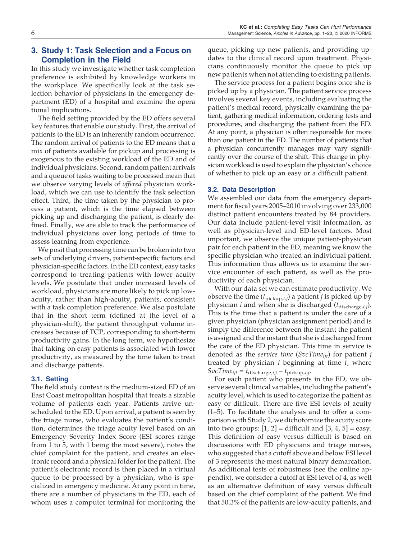# 3. Study 1: Task Selection and a Focus on Completion in the Field

In this study we investigate whether task completion preference is exhibited by knowledge workers in the workplace. We specifically look at the task selection behavior of physicians in the emergency department (ED) of a hospital and examine the opera tional implications.

The field setting provided by the ED offers several key features that enable our study. First, the arrival of patients to the ED is an inherently random occurrence. The random arrival of patients to the ED means that a mix of patients available for pickup and processing is exogenous to the existing workload of the ED and of individual physicians. Second, random patient arrivals and a queue of tasks waiting to be processed mean that we observe varying levels of *offered* physician workload, which we can use to identify the task selection effect. Third, the time taken by the physician to process a patient, which is the time elapsed between picking up and discharging the patient, is clearly defined. Finally, we are able to track the performance of individual physicians over long periods of time to assess learning from experience.

We posit that processing time can be broken into two sets of underlying drivers, patient-specific factors and physician-specific factors. In the ED context, easy tasks correspond to treating patients with lower acuity levels. We postulate that under increased levels of workload, physicians are more likely to pick up lowacuity, rather than high-acuity, patients, consistent with a task completion preference. We also postulate that in the short term (defined at the level of a physician-shift), the patient throughput volume increases because of TCP, corresponding to short-term productivity gains. In the long term, we hypothesize that taking on easy patients is associated with lower productivity, as measured by the time taken to treat and discharge patients.

# 3.1. Setting

The field study context is the medium-sized ED of an East Coast metropolitan hospital that treats a sizable volume of patients each year. Patients arrive unscheduled to the ED. Upon arrival, a patient is seen by the triage nurse, who evaluates the patient's condition, determines the triage acuity level based on an Emergency Severity Index Score (ESI scores range from 1 to 5, with 1 being the most severe), notes the chief complaint for the patient, and creates an electronic record and a physical folder for the patient. The patient's electronic record is then placed in a virtual queue to be processed by a physician, who is specialized in emergency medicine. At any point in time, there are a number of physicians in the ED, each of whom uses a computer terminal for monitoring the queue, picking up new patients, and providing updates to the clinical record upon treatment. Physicians continuously monitor the queue to pick up new patients when not attending to existing patients.

The service process for a patient begins once she is picked up by a physician. The patient service process involves several key events, including evaluating the patient's medical record, physically examining the patient, gathering medical information, ordering tests and procedures, and discharging the patient from the ED. At any point, a physician is often responsible for more than one patient in the ED. The number of patients that a physician concurrently manages may vary significantly over the course of the shift. This change in physician workload is used to explain the physician's choice of whether to pick up an easy or a difficult patient.

## 3.2. Data Description

We assembled our data from the emergency department for fiscal years 2005–2010 involving over 233,000 distinct patient encounters treated by 84 providers. Our data include patient-level visit information, as well as physician-level and ED-level factors. Most important, we observe the unique patient-physician pair for each patient in the ED, meaning we know the specific physician who treated an individual patient. This information thus allows us to examine the service encounter of each patient, as well as the productivity of each physician.

With our data set we can estimate productivity. We observe the time  $(t_{\text{pickup},i,j})$  a patient *j* is picked up by physician *i* and when she is discharged ( $t_{\text{discharge},i,j}$ ). This is the time that a patient is under the care of a given physician (physician assignment period) and is simply the difference between the instant the patient is assigned and the instant that she is discharged from the care of the ED physician. This time in service is denoted as the *service time* (*SvcTimeijt*) for patient *j* treated by physician *i* beginning at time *t*, where  $SvcTime_{ijt} = t_{\text{discharge},i,j} - t_{\text{pickup},i,j}$ .

For each patient who presents in the ED, we observe several clinical variables, including the patient's acuity level, which is used to categorize the patient as easy or difficult. There are five ESI levels of acuity (1–5). To facilitate the analysis and to offer a comparison with Study 2, we dichotomize the acuity score into two groups:  $[1, 2]$  = difficult and  $[3, 4, 5]$  = easy. This definition of easy versus difficult is based on discussions with ED physicians and triage nurses, who suggested that a cutoff above and below ESI level of 3 represents the most natural binary demarcation. As additional tests of robustness (see the online appendix), we consider a cutoff at ESI level of 4, as well as an alternative definition of easy versus difficult based on the chief complaint of the patient. We find that 50.3% of the patients are low-acuity patients, and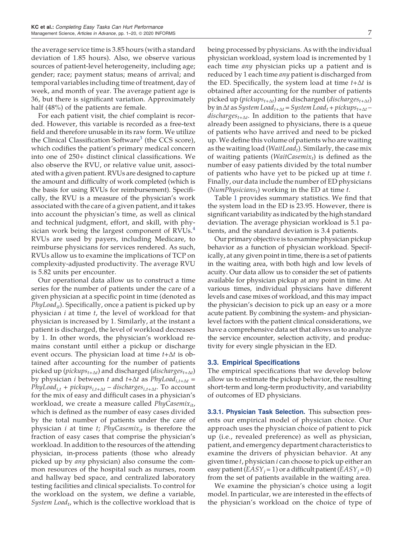the average service time is 3.85 hours (with a standard deviation of 1.85 hours). Also, we observe various sources of patient-level heterogeneity, including age; gender; race; payment status; means of arrival; and temporal variables including time of treatment, day of week, and month of year. The average patient age is 36, but there is significant variation. Approximately half (48%) of the patients are female.

For each patient visit, the chief complaint is recorded. However, this variable is recorded as a free-text field and therefore unusable in its raw form. We utilize the Clinical Classification Software<sup>3</sup> (the CCS score), which codifies the patient's primary medical concern into one of 250+ distinct clinical classifications. We also observe the RVU, or relative value unit, associated with a given patient. RVUs are designed to capture the amount and difficulty of work completed (which is the basis for using RVUs for reimbursement). Specifically, the RVU is a measure of the physician's work associated with the care of a given patient, and it takes into account the physician's time, as well as clinical and technical judgment, effort, and skill, with physician work being the largest component of  $RVUs.<sup>4</sup>$ RVUs are used by payers, including Medicare, to reimburse physicians for services rendered. As such, RVUs allow us to examine the implications of TCP on complexity-adjusted productivity. The average RVU is 5.82 units per encounter.

Our operational data allow us to construct a time series for the number of patients under the care of a given physician at a specific point in time (denoted as *PhyLoadit*). Specifically, once a patient is picked up by physician *i* at time *t*, the level of workload for that physician is increased by 1. Similarly, at the instant a patient is discharged, the level of workload decreases by 1. In other words, the physician's workload remains constant until either a pickup or discharge event occurs. The physician load at time *t+*∆*t* is obtained after accounting for the number of patients picked up (*pickupst+*∆*<sup>t</sup>* ) and discharged (*dischargest+*∆*<sup>t</sup>* ) by physician *i* between *t* and *t+*∆*t* as *PhyLoadi,t+*∆*<sup>t</sup> = PhyLoadi,t + pickupsi,t+*∆*<sup>t</sup>* – *dischargesi,t+*∆*<sup>t</sup>* . To account for the mix of easy and difficult cases in a physician's workload, we create a measure called *PhyCasemixit*, which is defined as the number of easy cases divided by the total number of patients under the care of physician *i* at time *t*; *PhyCasemixit* is therefore the fraction of easy cases that comprise the physician's workload. In addition to the resources of the attending physician, in-process patients (those who already picked up by *any* physician) also consume the common resources of the hospital such as nurses, room and hallway bed space, and centralized laboratory testing facilities and clinical specialists. To control for the workload on the system, we define a variable, *System Load<sup>t</sup>* , which is the collective workload that is

being processed by physicians. As with the individual physician workload, system load is incremented by 1 each time *any* physician picks up a patient and is reduced by 1 each time *any* patient is discharged from the ED. Specifically, the system load at time *t+*∆*t* is obtained after accounting for the number of patients picked up (*pickupst+*∆*<sup>t</sup>* ) and discharged (*dischargest+*∆*<sup>t</sup>* ) by in∆*t* as *System Loadt+*∆*<sup>t</sup> = System Load<sup>t</sup> + pickupst+*∆*<sup>t</sup>* – *dischargest+*∆*<sup>t</sup>* . In addition to the patients that have already been assigned to physicians, there is a queue of patients who have arrived and need to be picked up.We define this volume of patients who are waiting as the waiting load (*WaitLoad<sup>t</sup>* ). Similarly, the case mix of waiting patients (*WaitCasemix<sup>t</sup>* ) is defined as the number of easy patients divided by the total number of patients who have yet to be picked up at time *t*. Finally, our data include the number of ED physicians (*NumPhysicians<sup>t</sup>* ) working in the ED at time *t*.

Table 1 provides summary statistics. We find that the system load in the ED is 23.95. However, there is significant variability as indicated by the high standard deviation. The average physician workload is 5.1 patients, and the standard deviation is 3.4 patients.

Our primary objective is to examine physician pickup behavior as a function of physician workload. Specifically, at any given point in time, there is a set of patients in the waiting area, with both high and low levels of acuity. Our data allow us to consider the set of patients available for physician pickup at any point in time. At various times, individual physicians have different levels and case mixes of workload, and this may impact the physician's decision to pick up an easy or a more acute patient. By combining the system- and physicianlevel factors with the patient clinical considerations, we have a comprehensive data set that allows us to analyze the service encounter, selection activity, and productivity for every single physician in the ED.

#### 3.3. Empirical Specifications

The empirical specifications that we develop below allow us to estimate the pickup behavior, the resulting short-term and long-term productivity, and variability of outcomes of ED physicians.

3.3.1. Physician Task Selection. This subsection presents our empirical model of physician choice. Our approach uses the physician choice of patient to pick up (i.e., revealed preference) as well as physician, patient, and emergency department characteristics to examine the drivers of physician behavior. At any given time *t*, physician *i* can choose to pick up either an easy patient  $(EASY_i = 1)$  or a difficult patient  $(EASY_i = 0)$ from the set of patients available in the waiting area.

We examine the physician's choice using a logit model. In particular, we are interested in the effects of the physician's workload on the choice of type of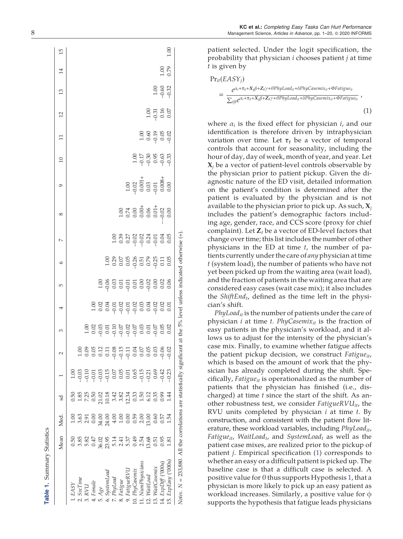|                                                                                                                           | Mean                                                                                                      | Med. | ್ದ |                                                                                                                                                                                                                                                                                                                              | 3 | 4                                                | Б | $\circ$ | $\sim$ | 8 | $\circ$                                                                  | $\overline{10}$                       | $\Xi$                         | 12                           | $\frac{3}{2}$              | $\overline{14}$ | 15   |
|---------------------------------------------------------------------------------------------------------------------------|-----------------------------------------------------------------------------------------------------------|------|----|------------------------------------------------------------------------------------------------------------------------------------------------------------------------------------------------------------------------------------------------------------------------------------------------------------------------------|---|--------------------------------------------------|---|---------|--------|---|--------------------------------------------------------------------------|---------------------------------------|-------------------------------|------------------------------|----------------------------|-----------------|------|
| . EASY                                                                                                                    |                                                                                                           |      |    | 1.0 <sub>C</sub>                                                                                                                                                                                                                                                                                                             |   |                                                  |   |         |        |   |                                                                          |                                       |                               |                              |                            |                 |      |
| SocTime                                                                                                                   |                                                                                                           |      |    |                                                                                                                                                                                                                                                                                                                              |   |                                                  |   |         |        |   |                                                                          |                                       |                               |                              |                            |                 |      |
| 3. RVU                                                                                                                    |                                                                                                           |      |    |                                                                                                                                                                                                                                                                                                                              |   |                                                  |   |         |        |   |                                                                          |                                       |                               |                              |                            |                 |      |
| Female                                                                                                                    | 5 5 8 5 5 6 5 7 5 7 6 7 7 8 7 8 7 9<br>0 6 7 9 7 9 7 8 7 9 7 7 8 7 8 9 9 9 9<br>0 7 9 9 9 9 9 9 9 9 9 9 9 |      |    | $\begin{array}{l} 0 & 0 & 0 & 0 & 0 \\ 0 & 0 & 0 & 0 & 0 \\ 0 & 0 & 0 & 0 & 0 \\ 0 & 0 & 0 & 0 & 0 \\ 0 & 0 & 0 & 0 & 0 \\ 0 & 0 & 0 & 0 & 0 \\ 0 & 0 & 0 & 0 & 0 \\ 0 & 0 & 0 & 0 & 0 \\ 0 & 0 & 0 & 0 & 0 \\ 0 & 0 & 0 & 0 & 0 \\ 0 & 0 & 0 & 0 & 0 \\ 0 & 0 & 0 & 0 & 0 \\ 0 & 0 & 0 & 0 & 0 \\ 0 & 0 & 0 & 0 & 0 \\ 0 &$ |   |                                                  |   |         |        |   |                                                                          |                                       |                               |                              |                            |                 |      |
| . A ge                                                                                                                    |                                                                                                           |      |    |                                                                                                                                                                                                                                                                                                                              |   | $303377$<br>$-009999$<br>$-0999999$<br>$-099999$ |   |         |        |   |                                                                          |                                       |                               |                              |                            |                 |      |
| SystemLoad                                                                                                                |                                                                                                           |      |    |                                                                                                                                                                                                                                                                                                                              |   |                                                  |   |         |        |   |                                                                          |                                       |                               |                              |                            |                 |      |
| . PhyLoad                                                                                                                 |                                                                                                           |      |    |                                                                                                                                                                                                                                                                                                                              |   |                                                  |   |         |        |   |                                                                          |                                       |                               |                              |                            |                 |      |
| 8. Fatigue                                                                                                                |                                                                                                           |      |    |                                                                                                                                                                                                                                                                                                                              |   |                                                  |   |         |        |   |                                                                          |                                       |                               |                              |                            |                 |      |
| 9. FatigueRVL                                                                                                             |                                                                                                           |      |    |                                                                                                                                                                                                                                                                                                                              |   |                                                  |   |         |        |   |                                                                          |                                       |                               |                              |                            |                 |      |
| 10. PhyCasemix                                                                                                            |                                                                                                           |      |    |                                                                                                                                                                                                                                                                                                                              |   |                                                  |   |         |        |   |                                                                          |                                       |                               |                              |                            |                 |      |
| 11. NumPhysicians                                                                                                         |                                                                                                           |      |    |                                                                                                                                                                                                                                                                                                                              |   |                                                  |   |         |        |   |                                                                          |                                       |                               |                              |                            |                 |      |
| 12. WaitLoad                                                                                                              |                                                                                                           |      |    |                                                                                                                                                                                                                                                                                                                              |   |                                                  |   |         |        |   |                                                                          |                                       |                               |                              |                            |                 |      |
| 13. WaitCasemix                                                                                                           |                                                                                                           |      |    |                                                                                                                                                                                                                                                                                                                              |   |                                                  |   |         |        |   |                                                                          |                                       |                               |                              |                            |                 |      |
| 14. $ExpDiff$ ('000s)                                                                                                     |                                                                                                           |      |    |                                                                                                                                                                                                                                                                                                                              |   |                                                  |   |         |        |   | $1.00$<br>$-0.02$<br>$0.001 +$<br>$0.03$<br>$-0.01$<br>$0.008 +$<br>0.00 | $0.578888$<br>$0.579888$<br>$0.59999$ | $1.06$<br>0.60 m<br>0.60 0.71 | $1.00$<br>$-0.31$<br>$-0.50$ | $1,00$<br>$0,00$<br>$0,32$ |                 |      |
| $15.$ ExpEasy $('000s)$                                                                                                   |                                                                                                           |      |    |                                                                                                                                                                                                                                                                                                                              |   |                                                  |   |         |        |   |                                                                          |                                       |                               |                              |                            | $\frac{85}{10}$ | 1.00 |
| Notes. $N = 233,880$ . All the correlations are statistically significant at the 5% level unless indicated otherwise (+). |                                                                                                           |      |    |                                                                                                                                                                                                                                                                                                                              |   |                                                  |   |         |        |   |                                                                          |                                       |                               |                              |                            |                 |      |

KC et al.: Completing Easy Tasks Can Hurt Performance 8 Management Science, Articles in Advance, pp. 1 –20, © 2020 INFORMS

> patient selected. Under the logit speci fication, the probability that physician *i* chooses patient *j* at time *t* is given by

$$
Pr_{it}(EASY_j)
$$
  
= 
$$
\frac{e^{\alpha_i + \tau_t + X_j \beta + Z_t \gamma + \theta PhyLoad_{it} + \deltaPhyCasemi x_{it} + \Phi Fati gue_{it}}}{\sum_{ijt} e^{\alpha_i + \tau_t + X_j \beta + Z_t \gamma + \theta PhyLoad_{it} + \delta PhyCasemi x_{it} + \Phi Fati gue_{it}}}
$$
 (1)

where  $\alpha_i$  is the fixed effect for physician  $i$ , and our identi fication is therefore driven by intraphysician variation over time. Let  $\tau_t$  be a vector of temporal controls that account for seasonality, including the hour of day, day of week, month of year, and year. Let <sup>X</sup>*<sup>j</sup>* be a vector of patient-level controls observable by the physician prior to patient pickup. Given the diagnostic nature of the ED visit, detailed information on the patient 's condition is determined after the patient is evaluated by the physician and is not available to the physician prior to pick up. As such,  $X_j$ includes the patient 's demographic factors including age, gender, race, and CCS score (proxy for chief complaint). Let  $\mathbf{Z}_t$  be a vector of ED-level factors that change over time; this list includes the number of other physicians in the ED at time *t*, the number of patients currently under the care of *any* physician at time *t* (system load), the number of patients who have not yet been picked up from the waiting area (wait load), and the fraction of patients in the waiting area that are considered easy cases (wait case mix); it also includes the *ShiftEnd<sub>t</sub>*, defined as the time left in the physician's shift.

*PhyLoadit* is the number of patients under the care of physician *i* at time *t. PhyCasemixit* is the fraction of easy patients in the physician 's workload, and it allows us to adjust for the intensity of the physician's case mix. Finally, to examine whether fatigue affects the patient pickup decision, we construct *Fatigueit* , which is based on the amount of work that the physician has already completed during the shift. Specifically, *Fatigueit* is operationalized as the number of patients that the physician has finished (i.e., discharged) at time *t* since the start of the shift. As another robustness test, we consider *FatigueRVUit*, the RVU units completed by physician *i* at time *t*. By construction, and consistent with the patient flow literature, these workload variables, including *PhyLoadit*, *Fatigueit* , *WaitLoad t* , and *SystemLoad <sup>t</sup>* as well as the patient case mixes, are realized prior to the pickup of patient *j*. Empirical speci fication ( 1) corresponds to whether an easy or a dif ficult patient is picked up. The baseline case is that a dif ficult case is selected. A positive value for θ thus supports Hypothesis 1, that a physician is more likely to pick up an easy patient as workload increases. Similarly, a positive value for φ supports the hypothesis that fatigue leads physicians

Table 1. Summary Statistics

Summary Statistics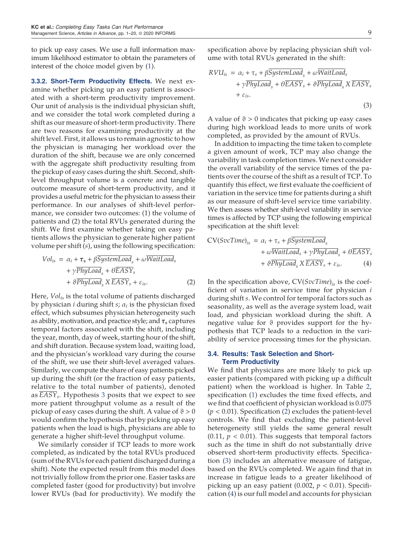to pick up easy cases. We use a full information maximum likelihood estimator to obtain the parameters of interest of the choice model given by (1).

3.3.2. Short-Term Productivity Effects. We next examine whether picking up an easy patient is associated with a short-term productivity improvement. Our unit of analysis is the individual physician shift, and we consider the total work completed during a shift as our measure of short-term productivity. There are two reasons for examining productivity at the shift level. First, it allows us to remain agnostic to how the physician is managing her workload over the duration of the shift, because we are only concerned with the aggregate shift productivity resulting from the pickup of easy cases during the shift. Second, shiftlevel throughput volume is a concrete and tangible outcome measure of short-term productivity, and it provides a useful metric for the physician to assess their performance. In our analyses of shift-level performance, we consider two outcomes: (1) the volume of patients and (2) the total RVUs generated during the shift. We first examine whether taking on easy patients allows the physician to generate higher patient volume per shift (*s*), using the following specification:

$$
Vol_{is} = \alpha_i + \tau_s + \beta SystemLoad_s + \omega WaitLoad_s
$$
  
+  $\gamma PhyLoad_s + \theta EASY_s$   
+  $\theta PhysLoad_s \times EASY_s + \varepsilon_{is}$ . (2)

Here, *Volis* is the total volume of patients discharged by physician *i* during shift *s*; α<sub>*i*</sub> is the physician fixed effect, which subsumes physician heterogeneity such as ability, motivation, and practice style; and  $\tau_s$  captures temporal factors associated with the shift, including the year, month, day of week, starting hour of the shift, and shift duration. Because system load, waiting load, and the physician's workload vary during the course of the shift, we use their shift-level averaged values. Similarly, we compute the share of easy patients picked up during the shift (or the fraction of easy patients, relative to the total number of patients), denoted as *EASY<sup>s</sup>* . Hypothesis 3 posits that we expect to see more patient throughput volume as a result of the pickup of easy cases during the shift. A value of  $\vartheta > 0$ would confirm the hypothesis that by picking up easy patients when the load is high, physicians are able to generate a higher shift-level throughput volume.

We similarly consider if TCP leads to more work completed, as indicated by the total RVUs produced (sum of the RVUs for each patient discharged during a shift). Note the expected result from this model does not trivially follow from the prior one. Easier tasks are completed faster (good for productivity) but involve lower RVUs (bad for productivity). We modify the

specification above by replacing physician shift volume with total RVUs generated in the shift:

$$
RVU_{is} = \alpha_i + \tau_s + \beta \overline{SystemLoad}_s + \omega \overline{WaitLoad}_s
$$
  
+  $\gamma \overline{PhyLoad}_s + \theta \overline{EASY}_s + \vartheta \overline{PhyLoad}_s \times \overline{EASY}_s$   
+  $\varepsilon_{is}$ . (3)

A value of  $\vartheta > 0$  indicates that picking up easy cases during high workload leads to more units of work completed, as provided by the amount of RVUs.

In addition to impacting the time taken to complete a given amount of work, TCP may also change the variability in task completion times. We next consider the overall variability of the service times of the patients over the course of the shift as a result of TCP. To quantify this effect, we first evaluate the coefficient of variation in the service time for patients during a shift as our measure of shift-level service time variability. We then assess whether shift-level variability in service times is affected by TCP using the following empirical specification at the shift level:

$$
CV(SvcTime)_{is} = \alpha_i + \tau_s + \beta SystemLoad_s + \omega WaitLoad_s + \gamma PhyLoad_s + \theta EASY_s + \vartheta PhysLoad_s \times EASY_s + \varepsilon_{is}.
$$
 (4)

In the specification above, CV(*SvcTime*)*is* is the coefficient of variation in service time for physician *i* during shift *s*. We control for temporal factors such as seasonality, as well as the average system load, wait load, and physician workload during the shift. A negative value for  $\vartheta$  provides support for the hypothesis that TCP leads to a reduction in the variability of service processing times for the physician.

## 3.4. Results: Task Selection and Short-Term Productivity

We find that physicians are more likely to pick up easier patients (compared with picking up a difficult patient) when the workload is higher. In Table 2, specification (1) excludes the time fixed effects, and we find that coefficient of physician workload is 0.075 (*p* < 0.01). Specification (2) excludes the patient-level controls. We find that excluding the patient-level heterogeneity still yields the same general result  $(0.11, p < 0.01)$ . This suggests that temporal factors such as the time in shift do not substantially drive observed short-term productivity effects. Specification (3) includes an alternative measure of fatigue, based on the RVUs completed. We again find that in increase in fatigue leads to a greater likelihood of picking up an easy patient  $(0.002, p < 0.01)$ . Specification (4) is our full model and accounts for physician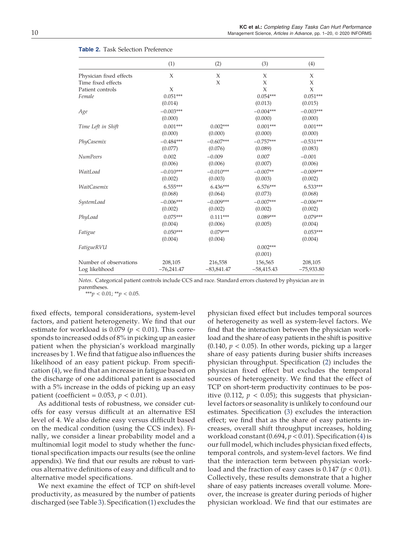|                         | (1)          | (2)          | (3)          | (4)          |
|-------------------------|--------------|--------------|--------------|--------------|
| Physician fixed effects | X            | Х            | X            | X            |
| Time fixed effects      |              | X            | X            | X            |
| Patient controls        | $\chi$       |              | X            | X            |
| Female                  | $0.051***$   |              | $0.054***$   | $0.051***$   |
|                         | (0.014)      |              | (0.013)      | (0.015)      |
| Age                     | $-0.003***$  |              | $-0.004***$  | $-0.003***$  |
|                         | (0.000)      |              | (0.000)      | (0.000)      |
| Time Left in Shift      | $0.001***$   | $0.002***$   | $0.001***$   | $0.001***$   |
|                         | (0.000)      | (0.000)      | (0.000)      | (0.000)      |
| PhyCasemix              | $-0.484***$  | $-0.607***$  | $-0.757***$  | $-0.531***$  |
|                         | (0.077)      | (0.076)      | (0.089)      | (0.083)      |
| NumPeers                | 0.002        | $-0.009$     | 0.007        | $-0.001$     |
|                         | (0.006)      | (0.006)      | (0.007)      | (0.006)      |
| WaitLoad                | $-0.010***$  | $-0.010***$  | $-0.007**$   | $-0.009***$  |
|                         | (0.002)      | (0.003)      | (0.003)      | (0.002)      |
| WaitCasemix             | $6.555***$   | 6.436***     | 6.576***     | $6.533***$   |
|                         | (0.068)      | (0.064)      | (0.073)      | (0.068)      |
| SystemLoad              | $-0.006***$  | $-0.009***$  | $-0.007***$  | $-0.006***$  |
|                         | (0.002)      | (0.002)      | (0.002)      | (0.002)      |
| PhyLoad                 | $0.075***$   | $0.111***$   | $0.089***$   | $0.079***$   |
|                         | (0.004)      | (0.006)      | (0.005)      | (0.004)      |
| Fatigue                 | $0.050***$   | $0.079***$   |              | $0.053***$   |
|                         | (0.004)      | (0.004)      |              | (0.004)      |
| FatigueRVU              |              |              | $0.002***$   |              |
|                         |              |              | (0.001)      |              |
| Number of observations  | 208,105      | 216,558      | 156,565      | 208,105      |
| Log likelihood          | $-76,241.47$ | $-83,841.47$ | $-58,415.43$ | $-75,933.80$ |
|                         |              |              |              |              |

#### Table 2. Task Selection Preference

*Notes*. Categorical patient controls include CCS and race. Standard errors clustered by physician are in parentheses.

\*\*\**p* < 0.01; \*\**p* < 0.05.

fixed effects, temporal considerations, system-level factors, and patient heterogeneity. We find that our estimate for workload is  $0.079$  ( $p < 0.01$ ). This corresponds to increased odds of 8% in picking up an easier patient when the physician's workload marginally increases by 1. We find that fatigue also influences the likelihood of an easy patient pickup. From specification (4), we find that an increase in fatigue based on the discharge of one additional patient is associated with a 5% increase in the odds of picking up an easy patient (coefficient =  $0.053$ ,  $p < 0.01$ ).

As additional tests of robustness, we consider cutoffs for easy versus difficult at an alternative ESI level of 4. We also define easy versus difficult based on the medical condition (using the CCS index). Finally, we consider a linear probability model and a multinomial logit model to study whether the functional specification impacts our results (see the online appendix). We find that our results are robust to various alternative definitions of easy and difficult and to alternative model specifications.

We next examine the effect of TCP on shift-level productivity, as measured by the number of patients discharged (see Table 3). Specification (1) excludes the

physician fixed effect but includes temporal sources of heterogeneity as well as system-level factors. We find that the interaction between the physician workload and the share of easy patients in the shift is positive  $(0.140, p < 0.05)$ . In other words, picking up a larger share of easy patients during busier shifts increases physician throughput. Specification (2) includes the physician fixed effect but excludes the temporal sources of heterogeneity. We find that the effect of TCP on short-term productivity continues to be positive (0.112,  $p < 0.05$ ); this suggests that physicianlevel factors or seasonality is unlikely to confound our estimates. Specification (3) excludes the interaction effect; we find that as the share of easy patients increases, overall shift throughput increases, holding workload constant  $(0.694, p < 0.01)$ . Specification  $(4)$  is our full model, which includes physician fixed effects, temporal controls, and system-level factors. We find that the interaction term between physician workload and the fraction of easy cases is  $0.147$  ( $p < 0.01$ ). Collectively, these results demonstrate that a higher share of easy patients increases overall volume. Moreover, the increase is greater during periods of higher physician workload. We find that our estimates are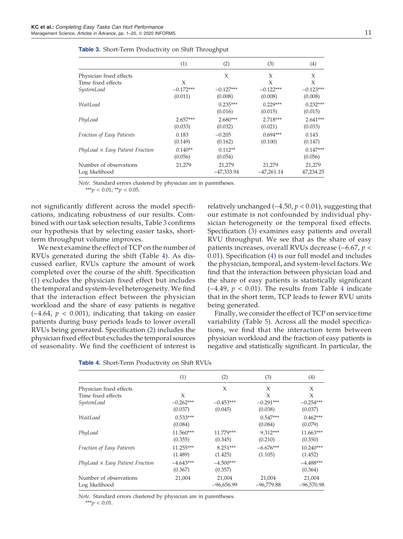|                                          | (1)                   | (2)                    | (3)                    | (4)                   |
|------------------------------------------|-----------------------|------------------------|------------------------|-----------------------|
| Physician fixed effects                  |                       | X                      | X                      | X                     |
| Time fixed effects                       | X                     |                        | X                      | X                     |
| SystemLoad                               | $-0.172***$           | $-0.127***$            | $-0.122***$            | $-0.123***$           |
|                                          | (0.011)               | (0.008)                | (0.008)                | (0.008)               |
| WaitLoad                                 |                       | $0.235***$<br>(0.016)  | $0.229***$<br>(0.015)  | $0.232***$<br>(0.015) |
| PhyLoad                                  | $2.657***$<br>(0.033) | $2.680***$<br>(0.032)  | $2.718***$<br>(0.021)  | $2.641***$<br>(0.033) |
| Fraction of Easy Patients                | 0.183<br>(0.149)      | $-0.205$<br>(0.162)    | $0.694***$<br>(0.100)  | 0.143<br>(0.147)      |
| $PhyLoad \times Easy$ Patient Fraction   | $0.140**$<br>(0.056)  | $0.112**$<br>(0.054)   |                        | $0.147***$<br>(0.056) |
| Number of observations<br>Log likelihood | 21,279                | 21,279<br>$-47,333.94$ | 21,279<br>$-47,261.14$ | 21,279<br>47,234.25   |

| Table 3. Short-Term Productivity on Shift Throughput |  |  |
|------------------------------------------------------|--|--|
|------------------------------------------------------|--|--|

*Note*. Standard errors clustered by physician are in parentheses. \*\*\**p* < 0.01; \*\**p* < 0.05.

not significantly different across the model specifications, indicating robustness of our results. Combined with our task selection results, Table 3 confirms our hypothesis that by selecting easier tasks, shortterm throughput volume improves.

We next examine the effect of TCP on the number of RVUs generated during the shift (Table 4). As discussed earlier, RVUs capture the amount of work completed over the course of the shift. Specification (1) excludes the physician fixed effect but includes the temporal and system-level heterogeneity. We find that the interaction effect between the physician workload and the share of easy patients is negative (−4.64, *p* < 0.001), indicating that taking on easier patients during busy periods leads to lower overall RVUs being generated. Specification (2) includes the physician fixed effect but excludes the temporal sources of seasonality. We find the coefficient of interest is relatively unchanged (−4.50, *p* < 0.01), suggesting that our estimate is not confounded by individual physician heterogeneity or the temporal fixed effects. Specification (3) examines easy patients and overall RVU throughput. We see that as the share of easy patients increases, overall RVUs decrease (−6.67, *p* < 0.01). Specification (4) is our full model and includes the physician, temporal, and system-level factors. We find that the interaction between physician load and the share of easy patients is statistically significant (−4.49, *p* < 0.01). The results from Table 4 indicate that in the short term, TCP leads to fewer RVU units being generated.

Finally, we consider the effect of TCP on service time variability (Table 5). Across all the model specifications, we find that the interaction term between physician workload and the fraction of easy patients is negative and statistically significant. In particular, the

|                                        | (1)         | (2)          | (3)          | (4)          |
|----------------------------------------|-------------|--------------|--------------|--------------|
| Physician fixed effects                |             | X            | X            | X            |
| Time fixed effects                     | X           |              | X            | X            |
| SystemLoad                             | $-0.262***$ | $-0.453***$  | $-0.291***$  | $-0.254***$  |
|                                        | (0.037)     | (0.045)      | (0.038)      | (0.037)      |
| WaitLoad                               | $0.533***$  |              | $0.547***$   | $0.462***$   |
|                                        | (0.084)     |              | (0.084)      | (0.079)      |
| PhyLoad                                | 11.560***   | 11.779***    | 9.312***     | $11.663***$  |
|                                        | (0.355)     | (0.345)      | (0.210)      | (0.350)      |
| Fraction of Easy Patients              | $11.255***$ | $8.251***$   | $-6.676***$  | $10.240***$  |
|                                        | (1.489)     | (1.425)      | (1.105)      | (1.452)      |
| $PhyLoad \times Easy$ Patient Fraction | $-4.643***$ | $-4.500***$  |              | $-4.488***$  |
|                                        | (0.367)     | (0.357)      |              | (0.364)      |
| Number of observations                 | 21,004      | 21,004       | 21,004       | 21,004       |
| Log likelihood                         |             | $-96,656.99$ | $-96,779.88$ | $-96,570.98$ |

Table 4. Short-Term Productivity on Shift RVUs

*Note*. Standard errors clustered by physician are in parentheses. \*\*\**p* < 0.01.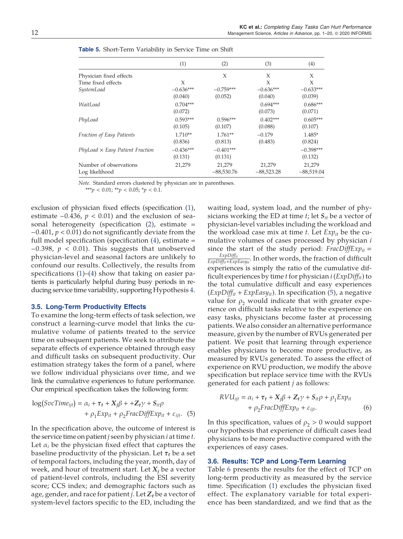|                                        | (1)         | (2)          | (3)          | (4)          |
|----------------------------------------|-------------|--------------|--------------|--------------|
| Physician fixed effects                |             | X            | X            | X            |
| Time fixed effects                     | X           |              | X            | X            |
| SystemLoad                             | $-0.636***$ | $-0.759***$  | $-0.636***$  | $-0.633***$  |
|                                        | (0.040)     | (0.052)      | (0.040)      | (0.039)      |
| WaitLoad                               | $0.704***$  |              | $0.694***$   | $0.686***$   |
|                                        | (0.072)     |              | (0.073)      | (0.071)      |
| PhyLoad                                | $0.593***$  | $0.596***$   | $0.402***$   | $0.605***$   |
|                                        | (0.105)     | (0.107)      | (0.088)      | (0.107)      |
| Fraction of Easy Patients              | $1.710**$   | $1.761**$    | $-0.179$     | $1.485*$     |
|                                        | (0.836)     | (0.813)      | (0.483)      | (0.824)      |
| $PhyLoad \times Easy$ Patient Fraction | $-0.436***$ | $-0.401***$  |              | $-0.398***$  |
|                                        | (0.131)     | (0.131)      |              | (0.132)      |
| Number of observations                 | 21,279      | 21,279       | 21,279       | 21,279       |
| Log likelihood                         |             | $-88,530.76$ | $-88,523.28$ | $-88,519.04$ |

*Note*. Standard errors clustered by physician are in parentheses.

\*\*\**p* < 0.01; \*\**p* < 0.05; \**p* < 0.1.

exclusion of physician fixed effects (specification (1), estimate  $-0.436$ ,  $p < 0.01$ ) and the exclusion of seasonal heterogeneity (specification  $(2)$ , estimate = −0.401, *p* < 0.01) do not significantly deviate from the full model specification (specification  $(4)$ , estimate = −0.398, *p* < 0.01). This suggests that unobserved physician-level and seasonal factors are unlikely to confound our results. Collectively, the results from specifications (1)–(4) show that taking on easier patients is particularly helpful during busy periods in reducing service time variability, supporting Hypothesis 4.

#### 3.5. Long-Term Productivity Effects

To examine the long-term effects of task selection, we construct a learning-curve model that links the cumulative volume of patients treated to the service time on subsequent patients. We seek to attribute the separate effects of experience obtained through easy and difficult tasks on subsequent productivity. Our estimation strategy takes the form of a panel, where we follow individual physicians over time, and we link the cumulative experiences to future performance. Our empirical specification takes the following form:

$$
log(SvcTime_{ijt}) = \alpha_i + \tau_t + X_j\beta + +Z_t\gamma + S_{it}\rho + \rho_1 Exp_{it} + \rho_2 FracDiffExp_{it} + \varepsilon_{ijt}.
$$
 (5)

In the specification above, the outcome of interest is the service time on patient*j* seen by physician *i* at time *t*. Let  $\alpha_i$  be the physician fixed effect that captures the baseline productivity of the physician. Let  $\tau_t$  be a set of temporal factors, including the year, month, day of week, and hour of treatment start. Let  $X_i$  be a vector of patient-level controls, including the ESI severity score; CCS index; and demographic factors such as age, gender, and race for patient *j*. Let  $Z_t$  be a vector of system-level factors specific to the ED, including the

waiting load, system load, and the number of physicians working the ED at time *t*; let S*it* be a vector of physician-level variables including the workload and the workload case mix at time *t*. Let *Expit* be the cumulative volumes of cases processed by physician *i* since the start of the study period: *FracDiffExp*<sup>*it*</sup> = *ExpDiffit*  $\frac{ExpDiff_{it}}{ExpDiff_{it}+ExpEasy_{it}}$ . In other words, the fraction of difficult experiences is simply the ratio of the cumulative difficult experiences by time *t* for physician *i* (*ExpDiffit*) to the total cumulative difficult and easy experiences (*ExpDiffit* + *ExpEasyit*). In specification (5), a negative value for  $\rho_2$  would indicate that with greater experience on difficult tasks relative to the experience on easy tasks, physicians become faster at processing patients. We also consider an alternative performance measure, given by the number of RVUs generated per patient. We posit that learning through experience enables physicians to become more productive, as measured by RVUs generated. To assess the effect of experience on RVU production, we modify the above specification but replace service time with the RVUs generated for each patient *j* as follows:

$$
RVU_{ijt} = \alpha_i + \tau_t + X_j \beta + Z_t \gamma + S_{it} \rho + \rho_1 E x p_{it}
$$
  
+ 
$$
\rho_2 FracDiffExp_{it} + \varepsilon_{ijt}.
$$
 (6)

In this specification, values of  $\rho_2 > 0$  would support our hypothesis that experience of difficult cases lead physicians to be more productive compared with the experiences of easy cases.

#### 3.6. Results: TCP and Long-Term Learning

Table 6 presents the results for the effect of TCP on long-term productivity as measured by the service time. Specification (1) excludes the physician fixed effect. The explanatory variable for total experience has been standardized, and we find that as the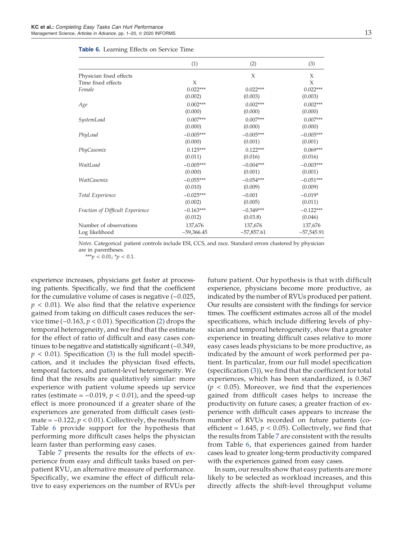|                                  | (1)          | (2)          | (3)          |
|----------------------------------|--------------|--------------|--------------|
| Physician fixed effects          |              | X            | X            |
| Time fixed effects               | X            |              | X            |
| Female                           | $0.022***$   | $0.022***$   | $0.022***$   |
|                                  | (0.002)      | (0.003)      | (0.003)      |
| Age                              | $0.002***$   | $0.002***$   | $0.002***$   |
|                                  | (0.000)      | (0.000)      | (0.000)      |
| SystemLoad                       | $0.007***$   | $0.007***$   | $0.007***$   |
|                                  | (0.000)      | (0.000)      | (0.000)      |
| PhyLoad                          | $-0.005***$  | $-0.005***$  | $-0.005***$  |
|                                  | (0.000)      | (0.001)      | (0.001)      |
| PhyCasemix                       | $0.125***$   | $0.122***$   | $0.069***$   |
|                                  | (0.011)      | (0.016)      | (0.016)      |
| WaitLoad                         | $-0.005***$  | $-0.004***$  | $-0.003***$  |
|                                  | (0.000)      | (0.001)      | (0.001)      |
| WaitCasemix                      | $-0.055***$  | $-0.054***$  | $-0.051***$  |
|                                  | (0.010)      | (0.009)      | (0.009)      |
| Total Experience                 | $-0.025***$  | $-0.001$     | $-0.019*$    |
|                                  | (0.002)      | (0.005)      | (0.011)      |
| Fraction of Difficult Experience | $-0.163***$  | $-0.349***$  | $-0.122***$  |
|                                  | (0.012)      | (0.03.8)     | (0.046)      |
| Number of observations           | 137,676      | 137,676      | 137,676      |
| Log likelihood                   | $-59,366.45$ | $-57,857.61$ | $-57,545.91$ |

|  | Table 6. Learning Effects on Service Time |  |  |  |
|--|-------------------------------------------|--|--|--|
|--|-------------------------------------------|--|--|--|

*Notes*. Categorical patient controls include ESI, CCS, and race. Standard errors clustered by physician are in parentheses.

\*\*\**p* < 0.01; \**p* < 0.1.

experience increases, physicians get faster at processing patients. Specifically, we find that the coefficient for the cumulative volume of cases is negative (−0.025, *p* < 0.01). We also find that the relative experience gained from taking on difficult cases reduces the service time (−0.163, *p* < 0.01). Specification (2) drops the temporal heterogeneity, and we find that the estimate for the effect of ratio of difficult and easy cases continues to be negative and statistically significant (−0.349,  $p < 0.01$ ). Specification (3) is the full model specification, and it includes the physician fixed effects, temporal factors, and patient-level heterogeneity. We find that the results are qualitatively similar: more experience with patient volume speeds up service rates (estimate =  $-0.019$ ,  $p < 0.01$ ), and the speed-up effect is more pronounced if a greater share of the experiences are generated from difficult cases (estimate =  $-0.122$ ,  $p < 0.01$ ). Collectively, the results from Table 6 provide support for the hypothesis that performing more difficult cases helps the physician learn faster than performing easy cases.

Table 7 presents the results for the effects of experience from easy and difficult tasks based on perpatient RVU, an alternative measure of performance. Specifically, we examine the effect of difficult relative to easy experiences on the number of RVUs per

future patient. Our hypothesis is that with difficult experience, physicians become more productive, as indicated by the number of RVUs produced per patient. Our results are consistent with the findings for service times. The coefficient estimates across all of the model specifications, which include differing levels of physician and temporal heterogeneity, show that a greater experience in treating difficult cases relative to more easy cases leads physicians to be more productive, as indicated by the amount of work performed per patient. In particular, from our full model specification (specification (3)), we find that the coefficient for total experiences, which has been standardized, is 0.367  $(p < 0.05)$ . Moreover, we find that the experiences gained from difficult cases helps to increase the productivity on future cases; a greater fraction of experience with difficult cases appears to increase the number of RVUs recorded on future patients (coefficient =  $1.645$ ,  $p < 0.05$ ). Collectively, we find that the results from Table 7 are consistent with the results from Table 6, that experiences gained from harder cases lead to greater long-term productivity compared with the experiences gained from easy cases.

In sum, our results show that easy patients are more likely to be selected as workload increases, and this directly affects the shift-level throughput volume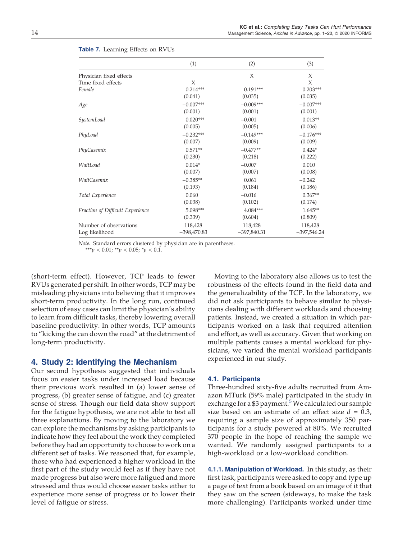|                                  | (1)           | (2)           | (3)           |
|----------------------------------|---------------|---------------|---------------|
| Physician fixed effects          |               | X             | X             |
| Time fixed effects               | $\chi$        |               | X             |
| Female                           | $0.214***$    | $0.191***$    | $0.203***$    |
|                                  | (0.041)       | (0.035)       | (0.035)       |
| Age                              | $-0.007***$   | $-0.009***$   | $-0.007***$   |
|                                  | (0.001)       | (0.001)       | (0.001)       |
| SystemLoad                       | $0.020***$    | $-0.001$      | $0.013**$     |
|                                  | (0.005)       | (0.005)       | (0.006)       |
| PhyLoad                          | $-0.232***$   | $-0.149***$   | $-0.176***$   |
|                                  | (0.007)       | (0.009)       | (0.009)       |
| PhyCasemix                       | $0.571**$     | $-0.477**$    | $0.424*$      |
|                                  | (0.230)       | (0.218)       | (0.222)       |
| WaitLoad                         | $0.014*$      | $-0.007$      | 0.010         |
|                                  | (0.007)       | (0.007)       | (0.008)       |
| WaitCasemix                      | $-0.385**$    | 0.061         | $-0.242$      |
|                                  | (0.193)       | (0.184)       | (0.186)       |
| Total Experience                 | 0.060         | $-0.016$      | $0.367**$     |
|                                  | (0.038)       | (0.102)       | (0.174)       |
| Fraction of Difficult Experience | $5.098***$    | $4.084***$    | $1.645**$     |
|                                  | (0.339)       | (0.604)       | (0.809)       |
| Number of observations           | 118,428       | 118,428       | 118,428       |
| Log likelihood                   | $-398,470.83$ | $-397,840.31$ | $-397,546.24$ |

#### Table 7. Learning Effects on RVUs

*Note*. Standard errors clustered by physician are in parentheses.

\*\*\**p* < 0.01; \*\**p* < 0.05; \**p* < 0.1.

(short-term effect). However, TCP leads to fewer RVUs generated per shift. In other words, TCP may be misleading physicians into believing that it improves short-term productivity. In the long run, continued selection of easy cases can limit the physician's ability to learn from difficult tasks, thereby lowering overall baseline productivity. In other words, TCP amounts to "kicking the can down the road" at the detriment of long-term productivity.

# 4. Study 2: Identifying the Mechanism

Our second hypothesis suggested that individuals focus on easier tasks under increased load because their previous work resulted in (a) lower sense of progress, (b) greater sense of fatigue, and (c) greater sense of stress. Though our field data show support for the fatigue hypothesis, we are not able to test all three explanations. By moving to the laboratory we can explore the mechanisms by asking participants to indicate how they feel about the work they completed before they had an opportunity to choose to work on a different set of tasks. We reasoned that, for example, those who had experienced a higher workload in the first part of the study would feel as if they have not made progress but also were more fatigued and more stressed and thus would choose easier tasks either to experience more sense of progress or to lower their level of fatigue or stress.

Moving to the laboratory also allows us to test the robustness of the effects found in the field data and the generalizability of the TCP. In the laboratory, we did not ask participants to behave similar to physicians dealing with different workloads and choosing patients. Instead, we created a situation in which participants worked on a task that required attention and effort, as well as accuracy. Given that working on multiple patients causes a mental workload for physicians, we varied the mental workload participants experienced in our study.

# 4.1. Participants

Three-hundred sixty-five adults recruited from Amazon MTurk (59% male) participated in the study in exchange for a \$3 payment.<sup>5</sup> We calculated our sample size based on an estimate of an effect size  $d = 0.3$ , requiring a sample size of approximately 350 participants for a study powered at 80%. We recruited 370 people in the hope of reaching the sample we wanted. We randomly assigned participants to a high-workload or a low-workload condition.

4.1.1. Manipulation of Workload. In this study, as their first task, participants were asked to copy and type up a page of text from a book based on an image of it that they saw on the screen (sideways, to make the task more challenging). Participants worked under time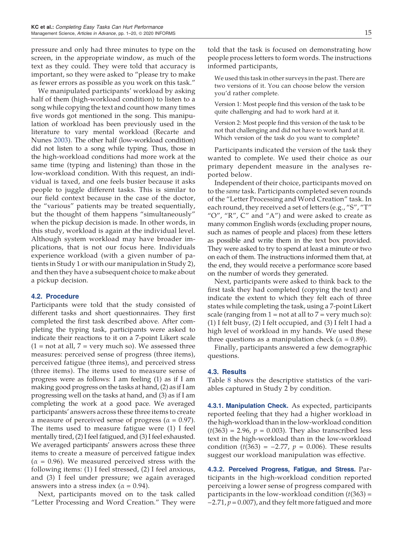pressure and only had three minutes to type on the screen, in the appropriate window, as much of the text as they could. They were told that accuracy is important, so they were asked to "please try to make as fewer errors as possible as you work on this task."

We manipulated participants' workload by asking half of them (high-workload condition) to listen to a song while copying the text and count how many times five words got mentioned in the song. This manipulation of workload has been previously used in the literature to vary mental workload (Recarte and Nunes 2003). The other half (low-workload condition) did not listen to a song while typing. Thus, those in the high-workload conditions had more work at the same time (typing and listening) than those in the low-workload condition. With this request, an individual is taxed, and one feels busier because it asks people to juggle different tasks. This is similar to our field context because in the case of the doctor, the "various" patients may be treated sequentially, but the thought of them happens "simultaneously" when the pickup decision is made. In other words, in this study, workload is again at the individual level. Although system workload may have broader implications, that is not our focus here. Individuals experience workload (with a given number of patients in Study 1 or with our manipulation in Study 2), and then they have a subsequent choice to make about a pickup decision.

#### 4.2. Procedure

Participants were told that the study consisted of different tasks and short questionnaires. They first completed the first task described above. After completing the typing task, participants were asked to indicate their reactions to it on a 7-point Likert scale  $(1 = not at all, 7 = very much so)$ . We assessed three measures: perceived sense of progress (three items), perceived fatigue (three items), and perceived stress (three items). The items used to measure sense of progress were as follows: I am feeling (1) as if I am making good progress on the tasks at hand, (2) as if I am progressing well on the tasks at hand, and (3) as if I am completing the work at a good pace. We averaged participants' answers across these three items to create a measure of perceived sense of progress ( $\alpha$  = 0.97). The items used to measure fatigue were (1) I feel mentally tired, (2) I feel fatigued, and (3) I feel exhausted. We averaged participants' answers across these three items to create a measure of perceived fatigue index  $(\alpha = 0.96)$ . We measured perceived stress with the following items: (1) I feel stressed, (2) I feel anxious, and (3) I feel under pressure; we again averaged answers into a stress index ( $\alpha$  = 0.94).

Next, participants moved on to the task called "Letter Processing and Word Creation." They were told that the task is focused on demonstrating how people process letters to form words. The instructions informed participants,

We used this task in other surveys in the past. There are two versions of it. You can choose below the version you'd rather complete.

Version 1: Most people find this version of the task to be quite challenging and had to work hard at it.

Version 2: Most people find this version of the task to be not that challenging and did not have to work hard at it. Which version of the task do you want to complete?

Participants indicated the version of the task they wanted to complete. We used their choice as our primary dependent measure in the analyses reported below.

Independent of their choice, participants moved on to the *same* task. Participants completed seven rounds of the "Letter Processing and Word Creation" task. In each round, they received a set of letters (e.g., "S", "T" " $O$ ", " $R$ ",  $C$ " and " $A$ ") and were asked to create as many common English words (excluding proper nouns, such as names of people and places) from these letters as possible and write them in the text box provided. They were asked to try to spend at least a minute or two on each of them. The instructions informed them that, at the end, they would receive a performance score based on the number of words they generated.

Next, participants were asked to think back to the first task they had completed (copying the text) and indicate the extent to which they felt each of three states while completing the task, using a 7-point Likert scale (ranging from  $1 = \text{not}$  at all to  $7 = \text{very}$  much so): (1) I felt busy, (2) I felt occupied, and (3) I felt I had a high level of workload in my hands. We used these three questions as a manipulation check ( $\alpha = 0.89$ ).

Finally, participants answered a few demographic questions.

#### 4.3. Results

Table 8 shows the descriptive statistics of the variables captured in Study 2 by condition.

4.3.1. Manipulation Check. As expected, participants reported feeling that they had a higher workload in the high-workload than in the low-workload condition  $(t(363) = 2.96, p = 0.003)$ . They also transcribed less text in the high-workload than in the low-workload condition  $(t(363) = -2.77, p = 0.006)$ . These results suggest our workload manipulation was effective.

4.3.2. Perceived Progress, Fatigue, and Stress. Participants in the high-workload condition reported perceiving a lower sense of progress compared with participants in the low-workload condition (*t*(363) = −2.71, *p* = 0.007), and they felt more fatigued and more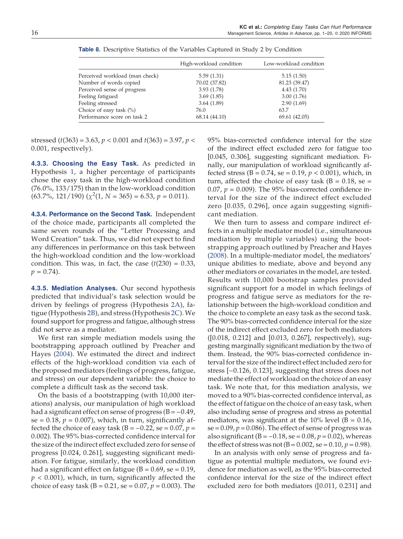|                                | High-workload condition | Low-workload condition |
|--------------------------------|-------------------------|------------------------|
| Perceived workload (man check) | 5.59(1.31)              | 5.15(1.50)             |
| Number of words copied         | 70.02 (37.82)           | 81.23 (39.47)          |
| Perceived sense of progress    | 3.93(1.78)              | 4.43(1.70)             |
| Feeling fatigued               | 3.69(1.85)              | 3.00(1.76)             |
| Feeling stressed               | 3.64(1.89)              | 2.90(1.69)             |
| Choice of easy task $(\%)$     | 76.0                    | 63.7                   |
| Performance score on task 2    | 68.14 (44.10)           | 69.61 (42.05)          |

Table 8. Descriptive Statistics of the Variables Captured in Study 2 by Condition

stressed (*t*(363) = 3.63, *p* < 0.001 and *t*(363) = 3.97, *p* < 0.001, respectively).

4.3.3. Choosing the Easy Task. As predicted in Hypothesis 1, a higher percentage of participants chose the easy task in the high-workload condition (76.0%, 133/175) than in the low-workload condition  $(63.7\%, 121/190)$   $(\chi^2(1, N = 365) = 6.53, p = 0.011).$ 

4.3.4. Performance on the Second Task. Independent of the choice made, participants all completed the same seven rounds of the "Letter Processing and Word Creation" task. Thus, we did not expect to find any differences in performance on this task between the high-workload condition and the low-workload condition. This was, in fact, the case  $(t(230) = 0.33)$ ,  $p = 0.74$ .

**4.3.5. Mediation Analyses.** Our second hypothesis predicted that individual's task selection would be driven by feelings of progress (Hypothesis 2A), fatigue (Hypothesis 2B), and stress (Hypothesis 2C).We found support for progress and fatigue, although stress did not serve as a mediator.

We first ran simple mediation models using the bootstrapping approach outlined by Preacher and Hayes (2004). We estimated the direct and indirect effects of the high-workload condition via each of the proposed mediators (feelings of progress, fatigue, and stress) on our dependent variable: the choice to complete a difficult task as the second task.

On the basis of a bootstrapping (with 10,000 iterations) analysis, our manipulation of high workload had a significant effect on sense of progress  $(B = -0.49)$ , se =  $0.18$ ,  $p = 0.007$ ), which, in turn, significantly affected the choice of easy task ( $B = -0.22$ , se = 0.07,  $p =$ 0.002). The 95% bias-corrected confidence interval for the size of the indirect effect excluded zero for sense of progress [0.024, 0.261], suggesting significant mediation. For fatigue, similarly, the workload condition had a significant effect on fatigue ( $B = 0.69$ , se = 0.19, *p* < 0.001), which, in turn, significantly affected the choice of easy task (B = 0.21, se = 0.07, *p* = 0.003). The 95% bias-corrected confidence interval for the size of the indirect effect excluded zero for fatigue too [0.045, 0.306], suggesting significant mediation. Finally, our manipulation of workload significantly affected stress (B =  $0.74$ , se =  $0.19$ ,  $p < 0.001$ ), which, in turn, affected the choice of easy task ( $B = 0.18$ , se = 0.07,  $p = 0.009$ ). The 95% bias-corrected confidence interval for the size of the indirect effect excluded zero [0.035, 0.296], once again suggesting significant mediation.

We then turn to assess and compare indirect effects in a multiple mediator model (i.e., simultaneous mediation by multiple variables) using the bootstrapping approach outlined by Preacher and Hayes (2008). In a multiple-mediator model, the mediators' unique abilities to mediate, above and beyond any other mediators or covariates in the model, are tested. Results with 10,000 bootstrap samples provided significant support for a model in which feelings of progress and fatigue serve as mediators for the relationship between the high-workload condition and the choice to complete an easy task as the second task. The 90% bias-corrected confidence interval for the size of the indirect effect excluded zero for both mediators ([0.018, 0.212] and [0.013, 0.267], respectively), suggesting marginally significant mediation by the two of them. Instead, the 90% bias-corrected confidence interval for the size of the indirect effect included zero for stress [−0.126, 0.123], suggesting that stress does not mediate the effect of workload on the choice of an easy task. We note that, for this mediation analysis, we moved to a 90% bias-corrected confidence interval, as the effect of fatigue on the choice of an easy task, when also including sense of progress and stress as potential mediators, was significant at the 10% level ( $B = 0.16$ ,  $se = 0.09$ ,  $p = 0.086$ ). The effect of sense of progress was also significant (B =  $-0.18$ , se = 0.08,  $p = 0.02$ ), whereas the effect of stress was not  $(B = 0.002, \text{ se} = 0.10, p = 0.98)$ .

In an analysis with only sense of progress and fatigue as potential multiple mediators, we found evidence for mediation as well, as the 95% bias-corrected confidence interval for the size of the indirect effect excluded zero for both mediators ([0.011, 0.231] and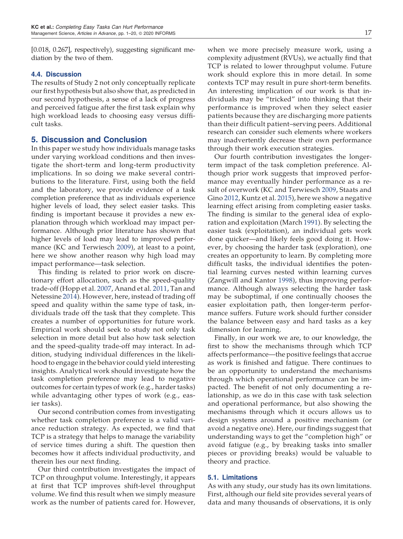[0.018, 0.267], respectively), suggesting significant mediation by the two of them.

#### 4.4. Discussion

The results of Study 2 not only conceptually replicate our first hypothesis but also show that, as predicted in our second hypothesis, a sense of a lack of progress and perceived fatigue after the first task explain why high workload leads to choosing easy versus difficult tasks.

# 5. Discussion and Conclusion

In this paper we study how individuals manage tasks under varying workload conditions and then investigate the short-term and long-term productivity implications. In so doing we make several contributions to the literature. First, using both the field and the laboratory, we provide evidence of a task completion preference that as individuals experience higher levels of load, they select easier tasks. This finding is important because it provides a new explanation through which workload may impact performance. Although prior literature has shown that higher levels of load may lead to improved performance (KC and Terwiesch 2009), at least to a point, here we show another reason why high load may impact performance—task selection.

This finding is related to prior work on discretionary effort allocation, such as the speed-quality trade-off (Hopp et al. 2007, Anand et al. 2011, Tan and Netessine 2014). However, here, instead of trading off speed and quality within the same type of task, individuals trade off the task that they complete. This creates a number of opportunities for future work. Empirical work should seek to study not only task selection in more detail but also how task selection and the speed-quality trade-off may interact. In addition, studying individual differences in the likelihood to engage in the behavior could yield interesting insights. Analytical work should investigate how the task completion preference may lead to negative outcomes for certain types of work (e.g., harder tasks) while advantaging other types of work (e.g., easier tasks).

Our second contribution comes from investigating whether task completion preference is a valid variance reduction strategy. As expected, we find that TCP is a strategy that helps to manage the variability of service times during a shift. The question then becomes how it affects individual productivity, and therein lies our next finding.

Our third contribution investigates the impact of TCP on throughput volume. Interestingly, it appears at first that TCP improves shift-level throughput volume. We find this result when we simply measure work as the number of patients cared for. However,

when we more precisely measure work, using a complexity adjustment (RVUs), we actually find that TCP is related to lower throughput volume. Future work should explore this in more detail. In some contexts TCP may result in pure short-term benefits. An interesting implication of our work is that individuals may be "tricked" into thinking that their performance is improved when they select easier patients because they are discharging more patients than their difficult patient–serving peers. Additional research can consider such elements where workers may inadvertently decrease their own performance through their work execution strategies.

Our fourth contribution investigates the longerterm impact of the task completion preference. Although prior work suggests that improved performance may eventually hinder performance as a result of overwork (KC and Terwiesch 2009, Staats and Gino 2012, Kuntz et al. 2015), here we show a negative learning effect arising from completing easier tasks. The finding is similar to the general idea of exploration and exploitation (March 1991). By selecting the easier task (exploitation), an individual gets work done quicker—and likely feels good doing it. However, by choosing the harder task (exploration), one creates an opportunity to learn. By completing more difficult tasks, the individual identifies the potential learning curves nested within learning curves (Zangwill and Kantor 1998), thus improving performance. Although always selecting the harder task may be suboptimal, if one continually chooses the easier exploitation path, then longer-term performance suffers. Future work should further consider the balance between easy and hard tasks as a key dimension for learning.

Finally, in our work we are, to our knowledge, the first to show the mechanisms through which TCP affects performance—the positive feelings that accrue as work is finished and fatigue. There continues to be an opportunity to understand the mechanisms through which operational performance can be impacted. The benefit of not only documenting a relationship, as we do in this case with task selection and operational performance, but also showing the mechanisms through which it occurs allows us to design systems around a positive mechanism (or avoid a negative one). Here, our findings suggest that understanding ways to get the "completion high" or avoid fatigue (e.g., by breaking tasks into smaller pieces or providing breaks) would be valuable to theory and practice.

#### 5.1. Limitations

As with any study, our study has its own limitations. First, although our field site provides several years of data and many thousands of observations, it is only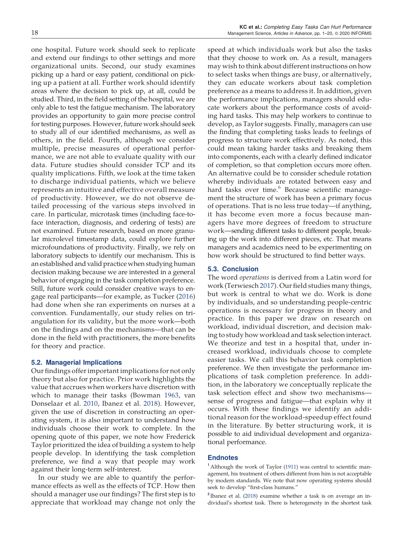one hospital. Future work should seek to replicate and extend our findings to other settings and more organizational units. Second, our study examines picking up a hard or easy patient, conditional on picking up a patient at all. Further work should identify areas where the decision to pick up, at all, could be studied. Third, in the field setting of the hospital, we are only able to test the fatigue mechanism. The laboratory provides an opportunity to gain more precise control for testing purposes. However, future work should seek to study all of our identified mechanisms, as well as others, in the field. Fourth, although we consider multiple, precise measures of operational performance, we are not able to evaluate quality with our data. Future studies should consider TCP and its quality implications. Fifth, we look at the time taken to discharge individual patients, which we believe represents an intuitive and effective overall measure of productivity. However, we do not observe detailed processing of the various steps involved in care. In particular, microtask times (including face-toface interaction, diagnosis, and ordering of tests) are not examined. Future research, based on more granular microlevel timestamp data, could explore further microfoundations of productivity. Finally, we rely on laboratory subjects to identify our mechanism. This is an established and valid practice when studying human decision making because we are interested in a general behavior of engaging in the task completion preference. Still, future work could consider creative ways to engage real participants—for example, as Tucker (2016) had done when she ran experiments on nurses at a convention. Fundamentally, our study relies on triangulation for its validity, but the more work—both on the findings and on the mechanisms—that can be done in the field with practitioners, the more benefits for theory and practice.

#### 5.2. Managerial Implications

Our findings offer important implications for not only theory but also for practice. Prior work highlights the value that accrues when workers have discretion with which to manage their tasks (Bowman 1963, van Donselaar et al. 2010, Ibanez et al. 2018). However, given the use of discretion in constructing an operating system, it is also important to understand how individuals choose their work to complete. In the opening quote of this paper, we note how Frederick Taylor prioritized the idea of building a system to help people develop. In identifying the task completion preference, we find a way that people may work against their long-term self-interest.

In our study we are able to quantify the performance effects as well as the effects of TCP. How then should a manager use our findings? The first step is to appreciate that workload may change not only the speed at which individuals work but also the tasks that they choose to work on. As a result, managers may wish to think about different instructions on how to select tasks when things are busy, or alternatively, they can educate workers about task completion preference as a means to address it. In addition, given the performance implications, managers should educate workers about the performance costs of avoiding hard tasks. This may help workers to continue to develop, as Taylor suggests. Finally, managers can use the finding that completing tasks leads to feelings of progress to structure work effectively. As noted, this could mean taking harder tasks and breaking them into components, each with a clearly defined indicator of completion, so that completion occurs more often. An alternative could be to consider schedule rotation whereby individuals are rotated between easy and hard tasks over time.<sup>6</sup> Because scientific management the structure of work has been a primary focus of operations. That is no less true today—if anything, it has become even more a focus because managers have more degrees of freedom to structure work—sending different tasks to different people, breaking up the work into different pieces, etc. That means managers and academics need to be experimenting on how work should be structured to find better ways.

#### 5.3. Conclusion

The word *operations* is derived from a Latin word for work (Terwiesch 2017). Our field studies many things, but work is central to what we do. Work is done by individuals, and so understanding people-centric operations is necessary for progress in theory and practice. In this paper we draw on research on workload, individual discretion, and decision making to study how workload and task selection interact. We theorize and test in a hospital that, under increased workload, individuals choose to complete easier tasks. We call this behavior task completion preference. We then investigate the performance implications of task completion preference. In addition, in the laboratory we conceptually replicate the task selection effect and show two mechanisms sense of progress and fatigue—that explain why it occurs. With these findings we identify an additional reason for the workload-speedup effect found in the literature. By better structuring work, it is possible to aid individual development and organizational performance.

#### Endnotes

<sup>1</sup> Although the work of Taylor (1911) was central to scientific management, his treatment of others different from him is not acceptable by modern standards. We note that now operating systems should seek to develop "first-class humans."

<sup>2</sup> Ibanez et al. (2018) examine whether a task is on average an individual's shortest task. There is heterogeneity in the shortest task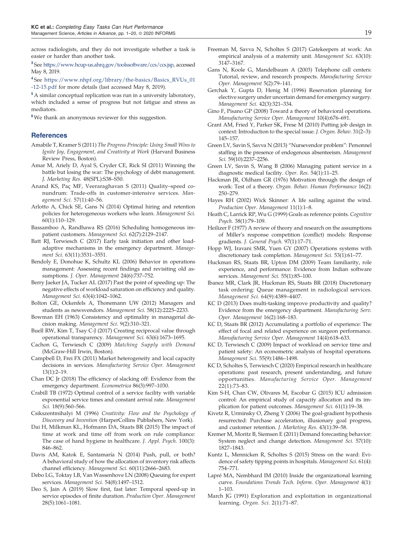across radiologists, and they do not investigate whether a task is easier or harder than another task.

<sup>3</sup>See https://www.hcup-us.ahrq.gov/toolssoftware/ccs/ccs.jsp, accessed May 8, 2019.

4 See https://www.nhpf.org/library/the-basics/Basics\_RVUs\_01 -12-15.pdf for more details (last accessed May 8, 2019).

<sup>5</sup> A similar conceptual replication was run in a university laboratory, which included a sense of progress but not fatigue and stress as mediators.

 $^6\rm{We}$  thank an anonymous reviewer for this suggestion.

#### **References**

- Amabile T, Kramer S (2011) *The Progress Principle: Using Small Wins to Ignite Joy, Engagement, and Creativity at Work* (Harvard Business Review Press, Boston).
- Amar M, Ariely D, Ayal S, Cryder CE, Rick SI (2011) Winning the battle but losing the war: The psychology of debt management. *J. Marketing Res.* 48(SPL):S38–S50.
- Anand KS, Paç MF, Veeraraghavan S (2011) Quality–speed conundrum: Trade-offs in customer-intensive services. *Management Sci.* 57(1):40–56.
- Arlotto A, Chick SE, Gans N (2014) Optimal hiring and retention policies for heterogeneous workers who learn. *Management Sci.* 60(1):110–129.
- Bassamboo A, Randhawa RS (2016) Scheduling homogeneous impatient customers. *Management Sci.* 62(7):2129–2147.
- Batt RJ, Terwiesch C (2017) Early task initiation and other loadadaptive mechanisms in the emergency department. *Management Sci.* 63(11):3531–3551.
- Bendoly E, Donohue K, Schultz KL (2006) Behavior in operations management: Assessing recent findings and revisiting old assumptions. *J. Oper. Management* 24(6):737–752.
- Berry Jaeker JA, Tucker AL (2017) Past the point of speeding up: The negative effects of workload saturation on efficiency and quality. *Management Sci.* 63(4):1042–1062.
- Bolton GE, Ockenfels A, Thonemann UW (2012) Managers and students as newsvendors. *Management Sci.* 58(12):2225–2233.
- Bowman EH (1963) Consistency and optimality in managerial decision making. *Management Sci.* 9(2):310–321.
- Buell RW, Kim T, Tsay C-J (2017) Creating reciprocal value through operational transparency. *Management Sci.* 63(6):1673–1695.
- Cachon G, Terwiesch C (2009) *Matching Supply with Demand* (McGraw-Hill Irwin, Boston).
- Campbell D, Frei FX (2011) Market heterogeneity and local capacity decisions in services. *Manufacturing Service Oper. Management* 13(1):2–19.
- Chan DC Jr (2018) The efficiency of slacking off: Evidence from the emergency department. *Econometrica* 86(3):997–1030.
- Crabill TB (1972) Optimal control of a service facility with variable exponential service times and constant arrival rate. *Management Sci.* 18(9):560–566.
- Csikszentmihalyi M (1996) *Creativity: Flow and the Psychology of Discovery and Invention* (HarperCollins Publishers, New York).
- Dai H, Milkman KL, Hofmann DA, Staats BR (2015) The impact of time at work and time off from work on rule compliance: The case of hand hygiene in healthcare. *J. Appl. Psych.* 100(3): 846–862.
- Davis AM, Katok E, Santamaría N (2014) Push, pull, or both? A behavioral study of how the allocation of inventory risk affects channel efficiency. *Management Sci.* 60(11):2666–2683.
- Debo LG, Toktay LB, Van Wassenhove LN (2008) Queuing for expert services. *Management Sci.* 54(8):1497–1512.
- Deo S, Jain A (2019) Slow first, fast later: Temporal speed-up in service episodes of finite duration. *Production Oper. Management* 28(5):1061–1081.
- Freeman M, Savva N, Scholtes S (2017) Gatekeepers at work: An empirical analysis of a maternity unit. *Management Sci.* 63(10): 3147–3167.
- Gans N, Koole G, Mandelbaum A (2003) Telephone call centers: Tutorial, review, and research prospects. *Manufacturing Service Oper. Management* 5(2):79–141.
- Gerchak Y, Gupta D, Henig M (1996) Reservation planning for elective surgery under uncertain demand for emergency surgery. *Management Sci.* 42(3):321–334.
- Gino F, Pisano GP (2008) Toward a theory of behavioral operations. *Manufacturing Service Oper. Management* 10(4):676–691.
- Grant AM, Fried Y, Parker SK, Frese M (2010) Putting job design in context: Introduction to the special issue. *J. Organ. Behav.* 31(2–3): 145–157.
- Green LV, Savin S, Savva N (2013) "Nursevendor problem": Personnel staffing in the presence of endogenous absenteeism. *Management Sci.* 59(10):2237–2256.
- Green LV, Savin S, Wang B (2006) Managing patient service in a diagnostic medical facility. *Oper. Res.* 54(1):11–25.
- Hackman JR, Oldham GR (1976) Motivation through the design of work: Test of a theory. *Organ. Behav. Human Performance* 16(2): 250–279.
- Hayes RH (2002) Wick Skinner: A life sailing against the wind. *Production Oper. Management* 11(1):1–8.
- Heath C, Larrick RP, Wu G (1999) Goals as reference points. *Cognitive Psych.* 38(1):79–109.
- Heilizer F (1977) A review of theory and research on the assumptions of Miller's response competition (conflict) models: Response gradients. *J. General Psych.* 97(1):17–71.
- Hopp WJ, Iravani SMR, Yuen GY (2007) Operations systems with discretionary task completion. *Management Sci.* 53(1):61–77.
- Huckman RS, Staats BR, Upton DM (2009) Team familiarity, role experience, and performance: Evidence from Indian software services. *Management Sci.* 55(1):85–100.
- Ibanez MR, Clark JR, Huckman RS, Staats BR (2018) Discretionary task ordering: Queue management in radiological services. *Management Sci.* 64(9):4389–4407.
- KC D (2013) Does multi-tasking improve productivity and quality? Evidence from the emergency department. *Manufacturing Serv. Oper. Management* 16(2):168–183.
- KC D, Staats BR (2012) Accumulating a portfolio of experience: The effect of focal and related experience on surgeon performance. *Manufacturing Service Oper. Management* 14(4):618–633.
- KC D, Terwiesch C (2009) Impact of workload on service time and patient safety: An econometric analysis of hospital operations. *Management Sci.* 55(9):1486–1498.
- KC D, Scholtes S, Terwiesch C (2020) Empirical research in healthcare operations: past research, present understanding, and future opportunities. *Manufacturing Service Oper. Management* 22(1):73–83.
- Kim S-H, Chan CW, Olivares M, Escobar G (2015) ICU admission control: An empirical study of capacity allocation and its implication for patient outcomes. *Management Sci.* 61(1):19–38.
- Kivetz R, Urminsky O, Zheng Y (2006) The goal-gradient hypothesis resurrected: Purchase acceleration, illusionary goal progress, and customer retention. *J. Marketing Res.* 43(1):39–58.
- Kremer M, Moritz B, Siemsen E (2011) Demand forecasting behavior: System neglect and change detection. *Management Sci.* 57(10): 1827–1843.
- Kuntz L, Mennicken R, Scholtes S (2015) Stress on the ward: Evidence of safety tipping points in hospitals. *Management Sci.* 61(4): 754–771.
- Lapré MA, Nembhard IM (2010) Inside the organizational learning curve. *Foundations Trends Tech. Inform. Oper. Management* 4(1): 1–103.
- March JG (1991) Exploration and exploitation in organizational learning. *Organ. Sci.* 2(1):71–87.